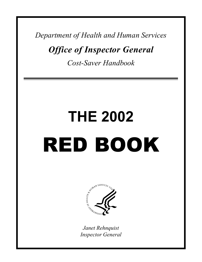*Department of Health and Human Services* 

*Office of Inspector General* 

*Cost-Saver Handbook* 

# **THE 2002**  RED BOOK



*Janet Rehnquist Inspector General*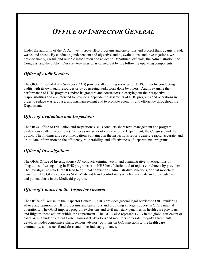# *OFFICE OF INSPECTOR GENERAL*

Under the authority of the IG Act, we improve HHS programs and operations and protect them against fraud, waste, and abuse. By conducting independent and objective audits, evaluations, and investigations, we provide timely, useful, and reliable information and advice to Department officials, the Administration, the Congress, and the public. Our statutory mission is carried out by the following operating components:

### *Office of Audit Services*

The OIG's Office of Audit Services (OAS) provides all auditing services for HHS, either by conducting audits with its own audit resources or by overseeing audit work done by others. Audits examine the performance of HHS programs and/or its grantees and contractors in carrying out their respective responsibilities and are intended to provide independent assessments of HHS programs and operations in order to reduce waste, abuse, and mismanagement and to promote economy and efficiency throughout the Department.

### *Office of Evaluation and Inspections*

The OIG's Office of Evaluation and Inspections (OEI) conducts short-term management and program evaluations (called inspections) that focus on issues of concern to the Department, the Congress, and the public. The findings and recommendations contained in the inspections reports generate rapid, accurate, and up-to-date information on the efficiency, vulnerability, and effectiveness of departmental programs.

### *Office of Investigations*

The OIG's Office of Investigations (OI) conducts criminal, civil, and administrative investigations of allegations of wrongdoing in HHS programs or to HHS beneficiaries and of unjust enrichment by providers. The investigative efforts of OI lead to criminal convictions, administrative sanctions, or civil monetary penalties. The OI also oversees State Medicaid fraud control units which investigate and prosecute fraud and patient abuse in the Medicaid program.

### *Office of Counsel to the Inspector General*

The Office of Counsel to the Inspector General (OCIG) provides general legal services to OIG, rendering advice and opinions on HHS programs and operations and providing all legal support in OIG's internal operations. The OCIG imposes program exclusions and civil monetary penalties on health care providers and litigates those actions within the Department. The OCIG also represents OIG in the global settlement of cases arising under the Civil False Claims Act, develops and monitors corporate integrity agreements, develops model compliance plans, renders advisory opinions on OIG sanctions to the health care community, and issues fraud alerts and other industry guidance.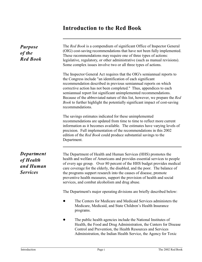### **Introduction to the Red Book**

| <b>Purpose</b><br>of the<br><b>Red Book</b>                    | The Red Book is a compendium of significant Office of Inspector General<br>(OIG) cost-saving recommendations that have not been fully implemented.<br>These recommendations may require one of three types of actions:<br>legislative, regulatory, or other administrative (such as manual revisions).<br>Some complex issues involve two or all three types of actions.                                                                                                                                                                        |  |  |  |  |  |
|----------------------------------------------------------------|-------------------------------------------------------------------------------------------------------------------------------------------------------------------------------------------------------------------------------------------------------------------------------------------------------------------------------------------------------------------------------------------------------------------------------------------------------------------------------------------------------------------------------------------------|--|--|--|--|--|
|                                                                | The Inspector General Act requires that the OIG's semiannual reports to<br>the Congress include "an identification of each significant<br>recommendation described in previous semiannual reports on which<br>corrective action has not been completed." Thus, appendices to each<br>semiannual report list significant unimplemented recommendations.<br>Because of the abbreviated nature of this list, however, we prepare the Red<br><i>Book</i> to further highlight the potentially significant impact of cost-saving<br>recommendations. |  |  |  |  |  |
|                                                                | The savings estimates indicated for these unimplemented<br>recommendations are updated from time to time to reflect more current<br>information as it becomes available. The estimates have varying levels of<br>precision. Full implementation of the recommendations in this 2002<br>edition of the <i>Red Book</i> could produce substantial savings to the<br>Department.                                                                                                                                                                   |  |  |  |  |  |
| <b>Department</b><br>of Health<br>and Human<br><b>Services</b> | The Department of Health and Human Services (HHS) promotes the<br>health and welfare of Americans and provides essential services to people<br>of every age group. Over 80 percent of the HHS budget provides medical<br>care coverage for the elderly, the disabled, and the poor. The balance of<br>the programs support research into the causes of disease, promote<br>preventive health measures, support the provision of health and social<br>services, and combat alcoholism and drug abuse.                                            |  |  |  |  |  |
|                                                                | The Department's major operating divisions are briefly described below:                                                                                                                                                                                                                                                                                                                                                                                                                                                                         |  |  |  |  |  |
|                                                                | The Centers for Medicare and Medicaid Services administers the<br>Medicare, Medicaid, and State Children's Health Insurance<br>programs.                                                                                                                                                                                                                                                                                                                                                                                                        |  |  |  |  |  |
|                                                                | The public health agencies include the National Institutes of<br>Health, the Food and Drug Administration, the Centers for Disease<br>Control and Prevention, the Health Resources and Services<br>Administration, the Indian Health Service, the Agency for Toxic                                                                                                                                                                                                                                                                              |  |  |  |  |  |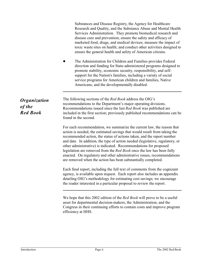Substances and Disease Registry, the Agency for Healthcare Research and Quality, and the Substance Abuse and Mental Health Services Administration. They promote biomedical research and disease cure and prevention; ensure the safety and efficacy of marketed food, drugs, and medical devices; measure the impact of toxic waste sites on health; and conduct other activities designed to ensure the general health and safety of American citizens. The Administration for Children and Families provides Federal direction and funding for State-administered programs designed to promote stability, economic security, responsibility, and selfsupport for the Nation's families, including a variety of social service programs for American children and families, Native Americans, and the developmentally disabled. *Organization of the Red Book*  The following sections of the *Red Book* address the OIG's recommendations to the Department's major operating divisions. Recommendations issued since the last *Red Book* was published are included in the first section; previously published recommendations can be found in the second. For each recommendation, we summarize the current law, the reason that action is needed, the estimated savings that would result from taking the recommended action, the status of actions taken, and the report number and date. In addition, the type of action needed (legislative, regulatory, or other administrative) is indicated. Recommendations for proposed legislation are removed from the *Red Book* once the law has been fully enacted. On regulatory and other administrative issues, recommendations are removed when the action has been substantially completed. Each final report, including the full text of comments from the cognizant agency, is available upon request. Each report also includes an appendix detailing OIG's methodology for estimating cost savings; we encourage the reader interested in a particular proposal to review the report. We hope that this 2002 edition of the *Red Book* will prove to be a useful asset for departmental decision-makers, the Administration, and the Congress in their continuing efforts to contain costs and improve program efficiency at HHS.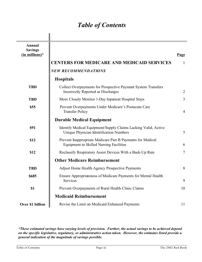# *Table of Contents*

 $\mathbf{I}$ 

| <b>Annual</b><br><b>Savings</b><br>$(in$ millions)* | <b>CENTERS FOR MEDICARE AND MEDICAID SERVICES</b>                                                            | Page<br>$\mathbf{1}$ |
|-----------------------------------------------------|--------------------------------------------------------------------------------------------------------------|----------------------|
|                                                     | <b>NEW RECOMMENDATIONS</b>                                                                                   |                      |
|                                                     | <b>Hospitals</b>                                                                                             |                      |
| <b>TBD</b>                                          | Collect Overpayments for Prospective Payment System Transfers<br>Incorrectly Reported as Discharges          | $\overline{2}$       |
| <b>TBD</b>                                          | More Closely Monitor 1-Day Inpatient Hospital Stays                                                          | $\overline{3}$       |
| \$55                                                | Prevent Overpayments Under Medicare's Postacute Care<br><b>Transfer Policy</b>                               | $\overline{4}$       |
|                                                     | <b>Durable Medical Equipment</b>                                                                             |                      |
| \$91                                                | Identify Medical Equipment/Supply Claims Lacking Valid, Active<br>Unique Physician Identification Numbers    | 5                    |
| \$12                                                | Prevent Inappropriate Medicare Part B Payments for Medical<br><b>Equipment in Skilled Nursing Facilities</b> | 6                    |
| \$12                                                | Reclassify Respiratory Assist Devices With a Back-Up Rate                                                    | $7\phantom{.0}$      |
|                                                     | <b>Other Medicare Reimbursement</b>                                                                          |                      |
| <b>TBD</b>                                          | <b>Adjust Home Health Agency Prospective Payments</b>                                                        | 8                    |
| \$685                                               | Ensure Appropriateness of Medicare Payments for Mental Health<br>Services                                    | 9                    |
| \$1                                                 | Prevent Overpayments of Rural Health Clinic Claims                                                           | 10                   |
|                                                     | <b>Medicaid Reimbursement</b>                                                                                |                      |
| Over \$1 billion                                    | Revise the Limit on Medicaid Enhanced Payments                                                               | 11                   |

*\*These estimated savings have varying levels of precision. Further, the actual savings to be achieved depend on the specific legislative, regulatory, or administrative action taken. However, the estimates listed provide a general indication of the magnitude of savings possible.*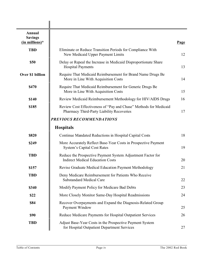| <b>Annual</b><br><b>Savings</b><br>$(in$ millions)* |                                                                                                                | Page |
|-----------------------------------------------------|----------------------------------------------------------------------------------------------------------------|------|
| <b>TBD</b>                                          | Eliminate or Reduce Transition Periods for Compliance With<br>New Medicaid Upper Payment Limits                | 12   |
| \$50                                                | Delay or Repeal the Increase in Medicaid Disproportionate Share<br><b>Hospital Payments</b>                    | 13   |
| Over \$1 billion                                    | Require That Medicaid Reimbursement for Brand Name Drugs Be<br>More in Line With Acquisition Costs             | 14   |
| \$470                                               | Require That Medicaid Reimbursement for Generic Drugs Be<br>More in Line With Acquisition Costs                | 15   |
| \$140                                               | Review Medicaid Reimbursement Methodology for HIV/AIDS Drugs                                                   | 16   |
| \$185                                               | Review Cost Effectiveness of "Pay and Chase" Methods for Medicaid<br>Pharmacy Third-Party Liability Recoveries | 17   |
|                                                     | PREVIOUS RECOMMENDATIONS                                                                                       |      |
|                                                     | <b>Hospitals</b>                                                                                               |      |
| \$820                                               | Continue Mandated Reductions in Hospital Capital Costs                                                         | 18   |
| \$249                                               | More Accurately Reflect Base-Year Costs in Prospective Payment<br><b>System's Capital Cost Rates</b>           | 19   |
| <b>TBD</b>                                          | Reduce the Prospective Payment System Adjustment Factor for<br><b>Indirect Medical Education Costs</b>         | 20   |
| \$157                                               | Revise Graduate Medical Education Payment Methodology                                                          | 21   |
| <b>TBD</b>                                          | Deny Medicare Reimbursement for Patients Who Receive<br><b>Substandard Medical Care</b>                        | 22   |
| \$340                                               | Modify Payment Policy for Medicare Bad Debts                                                                   | 23   |
| \$22                                                | More Closely Monitor Same-Day Hospital Readmissions                                                            | 24   |
| \$84                                                | Recover Overpayments and Expand the Diagnosis-Related Group<br>Payment Window                                  | 25   |
| \$90                                                | Reduce Medicare Payments for Hospital Outpatient Services                                                      | 26   |
| <b>TBD</b>                                          | Adjust Base-Year Costs in the Prospective Payment System<br>for Hospital Outpatient Department Services        | 27   |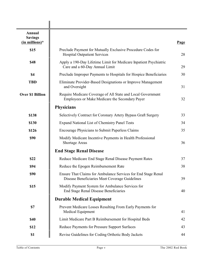| Annual<br><b>Savings</b><br>$(in$ millions) $*$ |                                                                                                                 | Page |
|-------------------------------------------------|-----------------------------------------------------------------------------------------------------------------|------|
| \$15                                            | Preclude Payment for Mutually Exclusive Procedure Codes for<br><b>Hospital Outpatient Services</b>              | 28   |
| \$48                                            | Apply a 190-Day Lifetime Limit for Medicare Inpatient Psychiatric<br>Care and a 60-Day Annual Limit             | 29   |
| \$4                                             | Preclude Improper Payments to Hospitals for Hospice Beneficiaries                                               | 30   |
| <b>TBD</b>                                      | Eliminate Provider-Based Designations or Improve Management<br>and Oversight                                    | 31   |
| <b>Over \$1 Billion</b>                         | Require Medicare Coverage of All State and Local Government<br>Employees or Make Medicare the Secondary Payer   | 32   |
|                                                 | <b>Physicians</b>                                                                                               |      |
| \$138                                           | Selectively Contract for Coronary Artery Bypass Graft Surgery                                                   | 33   |
| \$130                                           | <b>Expand National List of Chemistry Panel Tests</b>                                                            | 34   |
| \$126                                           | Encourage Physicians to Submit Paperless Claims                                                                 | 35   |
| \$90                                            | Modify Medicare Incentive Payments in Health Professional<br><b>Shortage Areas</b>                              | 36   |
|                                                 | <b>End Stage Renal Disease</b>                                                                                  |      |
| \$22                                            | Reduce Medicare End Stage Renal Disease Payment Rates                                                           | 37   |
| \$94                                            | Reduce the Epogen Reimbursement Rate                                                                            | 38   |
| \$90                                            | Ensure That Claims for Ambulance Services for End Stage Renal<br>Disease Beneficiaries Meet Coverage Guidelines | 39   |
| \$15                                            | Modify Payment System for Ambulance Services for<br><b>End Stage Renal Disease Beneficiaries</b>                | 40   |
|                                                 | <b>Durable Medical Equipment</b>                                                                                |      |
| \$7                                             | Prevent Medicare Losses Resulting From Early Payments for<br>Medical Equipment                                  | 41   |
| \$40                                            | Limit Medicare Part B Reimbursement for Hospital Beds                                                           | 42   |
| \$12                                            | Reduce Payments for Pressure Support Surfaces                                                                   | 43   |
| \$1                                             | Revise Guidelines for Coding Orthotic Body Jackets                                                              | 44   |

 $\mathbf{I}$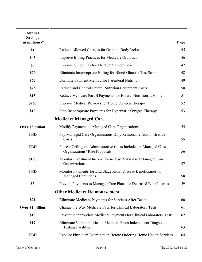| Annual<br><b>Savings</b><br>$(in$ millions)* |                                                                                                   | Page |
|----------------------------------------------|---------------------------------------------------------------------------------------------------|------|
| \$1                                          | Reduce Allowed Charges for Orthotic Body Jackets                                                  | 45   |
| \$43                                         | <b>Improve Billing Practices for Medicare Orthotics</b>                                           | 46   |
| \$7                                          | Improve Guidelines for Therapeutic Footwear                                                       | 47   |
| \$79                                         | Eliminate Inappropriate Billing for Blood Glucose Test Strips                                     | 48   |
| \$65                                         | Examine Payment Method for Parenteral Nutrition                                                   | 49   |
| \$28                                         | Reduce and Control Enteral Nutrition Equipment Costs                                              | 50   |
| \$15                                         | Reduce Medicare Part B Payments for Enteral Nutrition at Home                                     | 51   |
| \$263                                        | Improve Medical Reviews for Home Oxygen Therapy                                                   | 52   |
| \$19                                         | Stop Inappropriate Payments for Hyperbaric Oxygen Therapy                                         | 53   |
|                                              | <b>Medicare Managed Care</b>                                                                      |      |
| Over \$3 billion                             | Modify Payments to Managed Care Organizations                                                     | 54   |
| <b>TBD</b>                                   | Pay Managed Care Organizations Only Reasonable Administrative<br>Costs                            | 55   |
| <b>TBD</b>                                   | Place a Ceiling on Administrative Costs Included in Managed Care<br>Organizations' Rate Proposals | 56   |
| \$150                                        | Monitor Investment Income Earned by Risk-Based Managed Care<br>Organizations                      | 57   |
| <b>TBD</b>                                   | Monitor Payments for End Stage Renal Disease Beneficiaries in<br><b>Managed Care Plans</b>        | 58   |
| \$3                                          | Prevent Payments to Managed Care Plans for Deceased Beneficiaries                                 | 59   |
|                                              | <b>Other Medicare Reimbursement</b>                                                               |      |
| \$21                                         | Eliminate Medicare Payments for Services After Death                                              | 60   |
| Over \$1 billion                             | Change the Way Medicare Pays for Clinical Laboratory Tests                                        | 61   |
| \$13                                         | Prevent Inappropriate Medicare Payments for Clinical Laboratory Tests                             | 62   |
| \$12                                         | Eliminate Vulnerabilities to Medicare From Independent Diagnostic<br><b>Testing Facilities</b>    | 63   |
| <b>TBD</b>                                   | Require Physician Examination Before Ordering Home Health Services                                | 64   |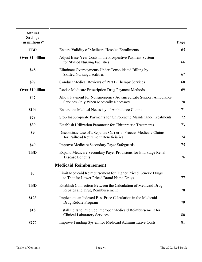| <b>Annual</b><br><b>Savings</b><br>(in millions)* |                                                                                                           | <b>Page</b> |
|---------------------------------------------------|-----------------------------------------------------------------------------------------------------------|-------------|
| <b>TBD</b>                                        | <b>Ensure Validity of Medicare Hospice Enrollments</b>                                                    | 65          |
| Over \$1 billion                                  | Adjust Base-Year Costs in the Prospective Payment System<br>for Skilled Nursing Facilities                | 66          |
| \$48                                              | Eliminate Overpayments Under Consolidated Billing by<br><b>Skilled Nursing Facilities</b>                 | 67          |
| \$97                                              | <b>Conduct Medical Reviews of Part B Therapy Services</b>                                                 | 68          |
| Over \$1 billion                                  | Revise Medicare Prescription Drug Payment Methods                                                         | 69          |
| \$47                                              | Allow Payment for Nonemergency Advanced Life Support Ambulance<br>Services Only When Medically Necessary  | 70          |
| \$104                                             | Ensure the Medical Necessity of Ambulance Claims                                                          | 71          |
| \$78                                              | Stop Inappropriate Payments for Chiropractic Maintenance Treatments                                       | 72          |
| \$30                                              | <b>Establish Utilization Parameter for Chiropractic Treatments</b>                                        |             |
| \$9                                               | Discontinue Use of a Separate Carrier to Process Medicare Claims<br>for Railroad Retirement Beneficiaries | 74          |
| \$40                                              | <b>Improve Medicare Secondary Payer Safeguards</b>                                                        | 75          |
| <b>TBD</b>                                        | Expand Medicare Secondary Payer Provisions for End Stage Renal<br><b>Disease Benefits</b>                 | 76          |
|                                                   | <b>Medicaid Reimbursement</b>                                                                             |             |
| \$7                                               | Limit Medicaid Reimbursement for Higher Priced Generic Drugs<br>to That for Lower Priced Brand Name Drugs | 77          |
| <b>TBD</b>                                        | Establish Connection Between the Calculation of Medicaid Drug<br>Rebates and Drug Reimbursement           | 78          |
| \$123                                             | Implement an Indexed Best Price Calculation in the Medicaid<br>Drug Rebate Program                        | 79          |
| \$18                                              | Install Edits to Preclude Improper Medicaid Reimbursement for<br><b>Clinical Laboratory Services</b>      | 80          |
| \$276                                             | Improve Funding System for Medicaid Administrative Costs                                                  | 81          |

 $\mathbf{I}$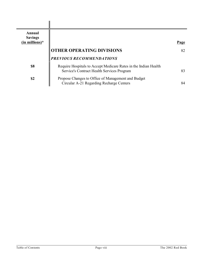| Annual<br><b>Savings</b><br>$(in$ millions)* |                                                                                                               | Page |
|----------------------------------------------|---------------------------------------------------------------------------------------------------------------|------|
|                                              | <b>OTHER OPERATING DIVISIONS</b>                                                                              | 82   |
|                                              | PREVIOUS RECOMMENDATIONS                                                                                      |      |
| \$8                                          | Require Hospitals to Accept Medicare Rates in the Indian Health<br>Service's Contract Health Services Program | 83   |
| \$2                                          | Propose Changes to Office of Management and Budget<br>Circular A-21 Regarding Recharge Centers                | 84   |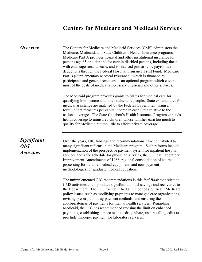## **Centers for Medicare and Medicaid Services**

| <i>Overview</i>                                       | The Centers for Medicare and Medicaid Services (CMS) administers the<br>Medicare, Medicaid, and State Children's Health Insurance programs.<br>Medicare Part A provides hospital and other institutional insurance for<br>persons age 65 or older and for certain disabled persons, including those<br>with end stage renal disease, and is financed primarily by payroll tax<br>deductions through the Federal Hospital Insurance Trust Fund. Medicare<br>Part B (Supplementary Medical Insurance), which is financed by<br>participants and general revenues, is an optional program which covers<br>most of the costs of medically necessary physician and other services. |
|-------------------------------------------------------|-------------------------------------------------------------------------------------------------------------------------------------------------------------------------------------------------------------------------------------------------------------------------------------------------------------------------------------------------------------------------------------------------------------------------------------------------------------------------------------------------------------------------------------------------------------------------------------------------------------------------------------------------------------------------------|
|                                                       | The Medicaid program provides grants to States for medical care for<br>qualifying low-income and other vulnerable people. State expenditures for<br>medical assistance are matched by the Federal Government using a<br>formula that measures per capita income in each State relative to the<br>national average. The State Children's Health Insurance Program expands<br>health coverage to uninsured children whose families earn too much to<br>qualify for Medicaid but too little to afford private coverage.                                                                                                                                                          |
| <b>Significant</b><br><b>OIG</b><br><b>Activities</b> | Over the years, OIG findings and recommendations have contributed to<br>many significant reforms in the Medicare program. Such reforms include<br>implementation of the prospective payment system for inpatient hospital<br>services and a fee schedule for physician services, the Clinical Laboratory<br>Improvement Amendments of 1988, regional consolidation of claims<br>processing for durable medical equipment, and new payment<br>methodologies for graduate medical education.                                                                                                                                                                                    |
|                                                       | The unimplemented OIG recommendations in this Red Book that relate to<br>CMS activities could produce significant annual savings and recoveries to<br>the Department. The OIG has identified a number of significant Medicare<br>policy issues, such as modifying payments to managed care organizations,<br>revising prescription drug payment methods, and ensuring the<br>appropriateness of payments for mental health services. Regarding<br>Medicaid, the OIG has recommended revising the limit on enhanced<br>payments, establishing a more realistic drug rebate, and installing edits to<br>preclude improper payment for laboratory services.                      |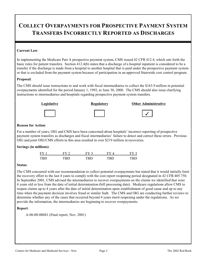# **COLLECT OVERPAYMENTS FOR PROSPECTIVE PAYMENT SYSTEM TRANSFERS INCORRECTLY REPORTED AS DISCHARGES**

#### **Current Law**:

In implementing the Medicare Part A prospective payment system, CMS issued 42 CFR 412.4, which sets forth the basic rules for patient transfers. Section 412.4(b) states that a discharge of a hospital inpatient is considered to be a transfer if the discharge is made from a hospital to another hospital that is paid under the prospective payment system or that is excluded from the payment system because of participation in an approved Statewide cost control program.

#### **Proposal**:

The CMS should issue instructions to and work with fiscal intermediaries to collect the \$163.9 million in potential overpayments identified for the period January 1, 1992, to June 30, 2000. The CMS should also issue clarifying instructions to intermediaries and hospitals regarding prospective payment system transfers.



#### **Reason for Action**:

For a number of years, OIG and CMS have been concerned about hospitals' incorrect reporting of prospective payment system transfers as discharges and fiscal intermediaries' failure to detect and correct these errors. Previous OIG and joint OIG/CMS efforts in this area resulted in over \$219 million in recoveries.

#### **Savings (in millions)**:

| $FY$ 1     | $FV$ 2 | FV 2 |     | FV. |
|------------|--------|------|-----|-----|
| <b>TRD</b> | TRN    | TRN  | TRN | TDF |

#### **Status**:

The CMS concurred with our recommendation to collect potential overpayments but stated that it would initially limit the recovery effort to the last 4 years to comply with the cost report reopening period designated in 42 CFR 405.750. In September 2001, CMS advised the intermediaries to recover overpayments on the claims we identified that were 4 years old or less from the date of initial determination (bill processing date). Medicare regulations allow CMS to reopen claims up to 4 years after the date of initial determination upon establishment of good cause and up to any time when the payment decision involves fraud or similar fault. The CMS and OIG are conducting further reviews to determine whether any of the cases that occurred beyond 4 years merit reopening under the regulations. As we provide the information, the intermediaries are beginning to recover overpayments.

#### **Report**:

A-06-00-00041 (Final report, Nov. 2001)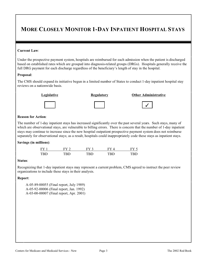### **MORE CLOSELY MONITOR 1-DAY INPATIENT HOSPITAL STAYS**

#### **Current Law**:

Under the prospective payment system, hospitals are reimbursed for each admission when the patient is discharged based on established rates which are grouped into diagnosis-related groups (DRGs). Hospitals generally receive the full DRG payment for each discharge regardless of the beneficiary's length of stay in the hospital.

#### **Proposal**:

The CMS should expand its initiative begun in a limited number of States to conduct 1-day inpatient hospital stay reviews on a nationwide basis.



#### **Legislative Regulatory Other Administrative**





#### **Reason for Action**:

The number of 1-day inpatient stays has increased significantly over the past several years. Such stays, many of which are observational stays, are vulnerable to billing errors. There is concern that the number of 1-day inpatient stays may continue to increase since the new hospital outpatient prospective payment system does not reimburse separately for observational stays; as a result, hospitals could inappropriately code these stays as inpatient stays.

#### **Savings (in millions)**:

| FY 1       | $_{\rm FV}$ ? | EV <sub>3</sub> | FV 4 |      |
|------------|---------------|-----------------|------|------|
| <b>TRD</b> | ח גודי        | TRD             | TRD  | וטיו |

#### **Status**:

Recognizing that 1-day inpatient stays may represent a current problem, CMS agreed to instruct the peer review organizations to include these stays in their analysis.

#### **Report**:

A-05-89-00055 (Final report, July 1989) A-05-92-00006 (Final report, Jan. 1992) A-03-00-00007 (Final report, Apr. 2001)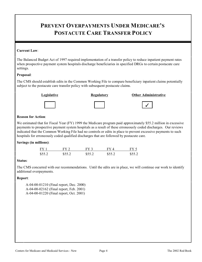## **PREVENT OVERPAYMENTS UNDER MEDICARE'S POSTACUTE CARE TRANSFER POLICY**

#### **Current Law**:

The Balanced Budget Act of 1997 required implementation of a transfer policy to reduce inpatient payment rates when prospective payment system hospitals discharge beneficiaries in specified DRGs to certain postacute care settings.

#### **Proposal**:

The CMS should establish edits in the Common Working File to compare beneficiary inpatient claims potentially subject to the postacute care transfer policy with subsequent postacute claims.



### **Legislative Regulatory Other Administrative**



| Kegulator |  |  |
|-----------|--|--|
|           |  |  |



#### **Reason for Action**:

We estimated that for Fiscal Year (FY) 1999 the Medicare program paid approximately \$55.2 million in excessive payments to prospective payment system hospitals as a result of these erroneously coded discharges. Our reviews indicated that the Common Working File had no controls or edits in place to prevent excessive payments to such hospitals for erroneously coded qualified discharges that are followed by postacute care.

#### **Savings (in millions)**:

| FY1    | $FY$ 2   | $FY$ 3   | FY 4   | FY 5   |
|--------|----------|----------|--------|--------|
| \$55.2 | \$55.2\$ | \$55.2\$ | \$55.2 | \$55.2 |

#### **Status**:

The CMS concurred with our recommendations. Until the edits are in place, we will continue our work to identify additional overpayments.

#### **Report**:

A-04-00-01210 (Final report, Dec. 2000) A-04-00-02162 (Final report, Feb. 2001) A-04-00-01220 (Final report, Oct. 2001)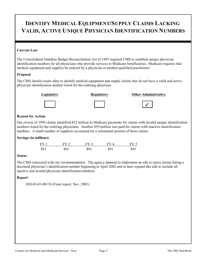### **IDENTIFY MEDICAL EQUIPMENT/SUPPLY CLAIMS LACKING VALID, ACTIVE UNIQUE PHYSICIAN IDENTIFICATION NUMBERS**

#### **Current Law**:

The Consolidated Omnibus Budget Reconciliation Act of 1985 required CMS to establish unique physician identification numbers for all physicians who provide services to Medicare beneficiaries. Medicare requires that medical equipment and supplies be ordered by a physician or another qualified practitioner.

#### **Proposal**:

The CMS should create edits to identify medical equipment and supply claims that do not have a valid and active physician identification number listed for the ordering physician.



#### **Legislative Community Regulatory Community Community Community Community Community Community Community Community Regulatory Other Administrative**





#### **Reason for Action**:

Our review of 1999 claims identified \$32 million in Medicare payments for claims with invalid unique identification numbers listed for the ordering physicians. Another \$59 million was paid for claims with inactive identification numbers. A small number of suppliers accounted for a substantial portion of these claims.

#### **Savings (in millions)**:

| $FY$ 1 | $FV$ 2 | $FY$ 3 | FY 4 | $FY$ $\overline{\phantom{a}}$ |
|--------|--------|--------|------|-------------------------------|
| \$91   | SQ 1   | \$91   | \$91 | 891                           |

#### **Status**:

The CMS concurred with our recommendation. The agency planned to implement an edit to reject claims listing a deceased physician's identification number beginning in April 2002 and to later expand this edit to include all inactive and invalid physician identification numbers.

#### **Report**:

OEI-03-01-00110 (Final report, Nov. 2001)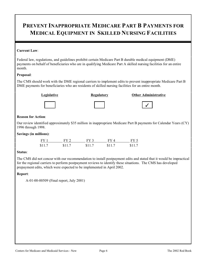### **PREVENT INAPPROPRIATE MEDICARE PART B PAYMENTS FOR MEDICAL EQUIPMENT IN SKILLED NURSING FACILITIES**

#### **Current Law**:

Federal law, regulations, and guidelines prohibit certain Medicare Part B durable medical equipment (DME) payments on behalf of beneficiaries who are in qualifying Medicare Part A skilled nursing facilities for an entire month.

#### **Proposal**:

The CMS should work with the DME regional carriers to implement edits to prevent inappropriate Medicare Part B DME payments for beneficiaries who are residents of skilled nursing facilities for an entire month.

#### **Legislative Regulatory Other Administrative**



# �

#### **Reason for Action**:

Our review identified approximately \$35 million in inappropriate Medicare Part B payments for Calendar Years (CY) 1996 through 1998.

#### **Savings (in millions)**:

| FY1    | $FY$ 2 | $FY$ 3 | FY4    | FY 5   |
|--------|--------|--------|--------|--------|
| \$11.7 | \$11.7 | \$11.7 | \$11.7 | \$11.7 |

#### **Status**:

The CMS did not concur with our recommendation to install postpayment edits and stated that it would be impractical for the regional carriers to perform postpayment reviews to identify these situations. The CMS has developed prepayment edits, which were expected to be implemented in April 2002.

#### **Report**:

A-01-00-00509 (Final report, July 2001)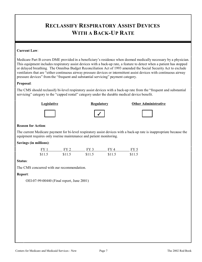### **RECLASSIFY RESPIRATORY ASSIST DEVICES WITH A BACK-UP RATE**

#### **Current Law**:

Medicare Part B covers DME provided in a beneficiary's residence when deemed medically necessary by a physician. This equipment includes respiratory assist devices with a back-up rate, a feature to detect when a patient has stopped or delayed breathing. The Omnibus Budget Reconciliation Act of 1993 amended the Social Security Act to exclude ventilators that are "either continuous airway pressure devices or intermittent assist devices with continuous airway pressure devices" from the "frequent and substantial servicing" payment category.

#### **Proposal**:

The CMS should reclassify bi-level respiratory assist devices with a back-up rate from the "frequent and substantial servicing" category to the "capped rental" category under the durable medical device benefit.



#### **Reason for Action**:

The current Medicare payment for bi-level respiratory assist devices with a back-up rate is inappropriate because the equipment requires only routine maintenance and patient monitoring.

#### **Savings (in millions)**:

| FY1    | FY 2   | $FY$ 3 | FV 4   | FY 5   |
|--------|--------|--------|--------|--------|
| \$11.5 | \$11.5 | \$11.5 | \$11.5 | \$11.5 |

#### **Status**:

The CMS concurred with our recommendation.

#### **Report**:

OEI-07-99-00440 (Final report, June 2001)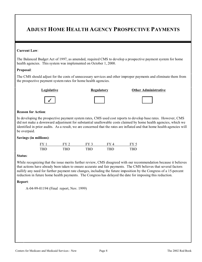### **ADJUST HOME HEALTH AGENCY PROSPECTIVE PAYMENTS**

#### **Current Law**:

The Balanced Budget Act of 1997, as amended, required CMS to develop a prospective payment system for home health agencies. This system was implemented on October 1, 2000.

#### **Proposal**:

The CMS should adjust for the costs of unnecessary services and other improper payments and eliminate them from the prospective payment system rates for home health agencies.





**Legislative Channel Regulatory Channel Administrative Channel Administrative** 



#### **Reason for Action**:

In developing the prospective payment system rates, CMS used cost reports to develop base rates. However, CMS did not make a downward adjustment for substantial unallowable costs claimed by home health agencies, which we identified in prior audits. As a result, we are concerned that the rates are inflated and that home health agencies will be overpaid.

#### **Savings (in millions)**:

| FY  | $FV$ $\hat{ }$ |     |     |      |
|-----|----------------|-----|-----|------|
| TRD | rdn            | rrn | rdn | וטיו |

#### **Status**:

While recognizing that the issue merits further review, CMS disagreed with our recommendation because it believes that actions have already been taken to ensure accurate and fair payments. The CMS believes that several factors nullify any need for further payment rate changes, including the future imposition by the Congress of a 15-percent reduction in future home health payments. The Congress has delayed the date for imposing this reduction.

#### **Report**:

A-04-99-01194 (Final report, Nov. 1999)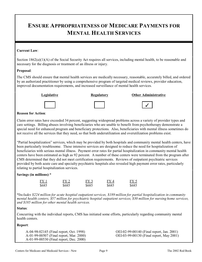### **ENSURE APPROPRIATENESS OF MEDICARE PAYMENTS FOR MENTAL HEALTH SERVICES**

#### **Current Law**:

Section 1862(a)(1)(A) of the Social Security Act requires all services, including mental health, to be reasonable and necessary for the diagnosis or treatment of an illness or injury.

#### **Proposal**:

The CMS should ensure that mental health services are medically necessary, reasonable, accurately billed, and ordered by an authorized practitioner by using a comprehensive program of targeted medical reviews, provider education, improved documentation requirements, and increased surveillance of mental health services.



#### **Reason for Action**:

Claim error rates have exceeded 34 percent, suggesting widespread problems across a variety of provider types and care settings. Billing abuses involving beneficiaries who are unable to benefit from psychotherapy demonstrate a special need for enhanced program and beneficiary protections. Also, beneficiaries with mental illness sometimes do not receive all the services that they need, so that both underutilization and overutilization problems exist.

"Partial hospitalization" services, which may be provided by both hospitals and community mental health centers, have been particularly troublesome. These intensive services are designed to reduce the need for hospitalization of beneficiaries with serious mental illness. Payment error rates for partial hospitalization in community mental health centers have been estimated as high as 92 percent. A number of these centers were terminated from the program after CMS determined that they did not meet certification requirements. Reviews of outpatient psychiatric services provided by both acute care and specialty psychiatric hospitals also revealed high payment error rates, particularly relating to partial hospitalization services.

#### **Savings (in millions)**:\*

| FY 1  | FY2   | FY 3  | FY 4  | FY <sub>5</sub> |
|-------|-------|-------|-------|-----------------|
| \$685 | \$685 | \$685 | \$685 | \$685           |

*\*Includes \$224 million for acute hospital outpatient services, \$189 million for partial hospitalization in community mental health centers, \$57 million for psychiatric hospital outpatient services, \$30 million for nursing home services, and \$185 million for other mental health services.* 

#### **Status**:

Concurring with the individual reports, CMS has initiated some efforts, particularly regarding community mental health centers.

#### **Report**:

A-01-99-00530 (Final report, Dec. 2000)

A-04-98-02145 (Final report, Oct. 1998) OEI-02-99-00140 (Final report, Jan. 2001) OEI-03-99-00130 (Final report, May 2001)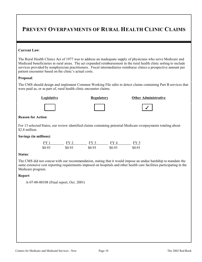### **PREVENT OVERPAYMENTS OF RURAL HEALTH CLINIC CLAIMS**

#### **Current Law**:

The Rural Health Clinics Act of 1977 was to address an inadequate supply of physicians who serve Medicare and Medicaid beneficiaries in rural areas. The act expanded reimbursement in the rural health clinic setting to include services provided by nonphysician practitioners. Fiscal intermediaries reimburse clinics a prospective amount per patient encounter based on the clinic's actual costs.

#### **Proposal**:

The CMS should design and implement Common Working File edits to detect claims containing Part B services that were paid as, or as part of, rural health clinic encounter claims.



#### **Reason for Action**:

For 13 selected States, our review identified claims containing potential Medicare overpayments totaling about \$2.8 million.

#### **Savings (in millions)**:

| FY 1   | FY 2   | FY 3   | FY 4   | FY 5   |
|--------|--------|--------|--------|--------|
| \$0.93 | \$0.93 | \$0.93 | \$0.93 | \$0.93 |

#### **Status**:

The CMS did not concur with our recommendation, stating that it would impose an undue hardship to mandate the same extensive cost reporting requirements imposed on hospitals and other health care facilities participating in the Medicare program.

#### **Report**:

A-07-00-00108 (Final report, Oct. 2001)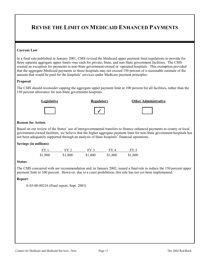### **REVISE THE LIMIT ON MEDICAID ENHANCED PAYMENTS**

#### **Current Law**:

In a final rule published in January 2001, CMS revised the Medicaid upper payment limit regulations to provide for three separate aggregate upper limits--one each for private, State, and non-State government facilities. The CMS created an exception for payments to non-State government-owned or -operated hospitals. This exemption provided that the aggregate Medicaid payments to those hospitals may not exceed 150 percent of a reasonable estimate of the amount that would be paid for the hospitals' services under Medicare payment principles.

#### **Proposal**:

The CMS should reconsider capping the aggregate upper payment limit at 100 percent for all facilities, rather than the 150 percent allowance for non-State government hospitals.



#### **Reason for Action**:

Based on our review of the States' use of intergovernmental transfers to finance enhanced payments to county or local government-owned facilities, we believe that the higher aggregate payment limit for non-State government hospitals has not been adequately supported through an analysis of these hospitals' financial operations.

#### **Savings (in millions)**:

| FY 1    | FY 2    | FY3     | FY 4    | FY 5    |
|---------|---------|---------|---------|---------|
| \$1,800 | \$1,800 | \$1,800 | \$1,800 | \$1,800 |

#### **Status**:

The CMS concurred with our recommendation and, in January 2002, issued a final rule to reduce the 150 percent upper payment limit to 100 percent. However, due to a court prohibition, this rule has not yet been implemented.

#### **Report**:

A-03-00-00216 (Final report, Sept. 2001)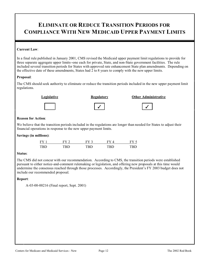### **ELIMINATE OR REDUCE TRANSITION PERIODS FOR COMPLIANCE WITH NEW MEDICAID UPPER PAYMENT LIMITS**

#### **Current Law**:

In a final rule published in January 2001, CMS revised the Medicaid upper payment limit regulations to provide for three separate aggregate upper limits--one each for private, State, and non-State government facilities. The rule included several transition periods for States with approved rate enhancement State plan amendments. Depending on the effective date of these amendments, States had 2 to 8 years to comply with the new upper limits.

#### **Proposal**:

The CMS should seek authority to eliminate or reduce the transition periods included in the new upper payment limit regulations.



#### **Reason for Action**:

We believe that the transition periods included in the regulations are longer than needed for States to adjust their financial operations in response to the new upper payment limits.

**Savings (in millions)**:

| FY 1       | $FV$ ? | $FV$ ?     | FV.  |     |
|------------|--------|------------|------|-----|
| <b>TBD</b> | TRD    | <b>TRD</b> | TRD. | трг |

#### **Status**:

The CMS did not concur with our recommendation. According to CMS, the transition periods were established pursuant to either notice-and-comment rulemaking or legislation, and offering new proposals at this time would undermine the consensus reached through those processes. Accordingly, the President's FY 2003 budget does not include our recommended proposal.

#### **Report**:

A-03-00-00216 (Final report, Sept. 2001)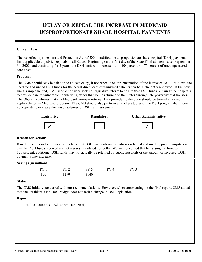### **DELAY OR REPEAL THE INCREASE IN MEDICAID DISPROPORTIONATE SHARE HOSPITAL PAYMENTS**

#### **Current Law**:

The Benefits Improvement and Protection Act of 2000 modified the disproportionate share hospital (DSH) payment limit applicable to public hospitals in all States. Beginning on the first day of the State FY that begins after September 30, 2002, and continuing for 2 years, the DSH limit will increase from 100 percent to 175 percent of uncompensated care costs.

#### **Proposal**:

The CMS should seek legislation to at least delay, if not repeal, the implementation of the increased DSH limit until the need for and use of DSH funds for the actual direct care of uninsured patients can be sufficiently reviewed. If the new limit is implemented, CMS should consider seeking legislative reform to ensure that DSH funds remain at the hospitals to provide care to vulnerable populations, rather than being returned to the States through intergovernmental transfers. The OIG also believes that any Medicaid payment returned by a provider to the State should be treated as a credit applicable to the Medicaid program. The CMS should also perform any other studies of the DSH program that it deems appropriate to evaluate the reasonableness of DSH reimbursement.



#### **Reason for Action**:

Based on audits in four States, we believe that DSH payments are not always retained and used by public hospitals and that the DSH funds received are not always calculated correctly. We are concerned that by raising the limit to 175 percent, additional DSH funds may not actually be retained by public hospitals or the amount of incorrect DSH payments may increase.

#### **Savings (in millions)**:



#### **Status**:

The CMS initially concurred with our recommendations. However, when commenting on the final report, CMS stated that the President's FY 2003 budget does not seek a change in DSH legislation.

#### **Report**:

A-06-01-00069 (Final report, Dec. 2001)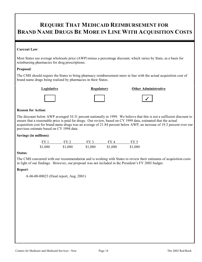### **REQUIRE THAT MEDICAID REIMBURSEMENT FOR BRAND NAME DRUGS BE MORE IN LINE WITH ACQUISITION COSTS**

#### **Current Law**:

Most States use average wholesale price (AWP) minus a percentage discount, which varies by State, as a basis for reimbursing pharmacies for drug prescriptions.

#### **Proposal**:

The CMS should require the States to bring pharmacy reimbursement more in line with the actual acquisition cost of brand name drugs being realized by pharmacies in their States.



#### **Legislative Regulatory Other Administrative**





#### **Reason for Action**:

The discount below AWP averaged 10.31 percent nationally in 1999. We believe that this is not a sufficient discount to ensure that a reasonable price is paid for drugs. Our review, based on CY 1999 data, estimated that the actual acquisition cost for brand name drugs was an average of 21.84 percent below AWP, an increase of 19.3 percent over our previous estimate based on CY 1994 data.

#### **Savings (in millions)**:

| FY 1    | FY 2.   | FY 3    | FY 4    | FY 5    |
|---------|---------|---------|---------|---------|
| \$1,080 | \$1,080 | \$1,080 | \$1,080 | \$1,080 |

#### **Status**:

The CMS concurred with our recommendation and is working with States to review their estimates of acquisition costs in light of our findings. However, our proposal was not included in the President's FY 2003 budget.

#### **Report**:

A-06-00-00023 (Final report, Aug. 2001)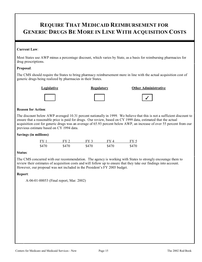### **REQUIRE THAT MEDICAID REIMBURSEMENT FOR GENERIC DRUGS BE MORE IN LINE WITH ACQUISITION COSTS**

#### **Current Law**:

Most States use AWP minus a percentage discount, which varies by State, as a basis for reimbursing pharmacies for drug prescriptions.

#### **Proposal**:

The CMS should require the States to bring pharmacy reimbursement more in line with the actual acquisition cost of generic drugs being realized by pharmacies in their States.



#### **Legislative Regulatory Other Administrative**

�

#### **Reason for Action**:

The discount below AWP averaged 10.31 percent nationally in 1999. We believe that this is not a sufficient discount to ensure that a reasonable price is paid for drugs. Our review, based on CY 1999 data, estimated that the actual acquisition cost for generic drugs was an average of 65.93 percent below AWP, an increase of over 55 percent from our previous estimate based on CY 1994 data.

#### **Savings (in millions)**:

| FY 1  | FY 2  | $FY$ 3 | FY4   | FY 5  |
|-------|-------|--------|-------|-------|
| \$470 | \$470 | \$470  | \$470 | \$470 |

#### **Status**:

The CMS concurred with our recommendation. The agency is working with States to strongly encourage them to review their estimates of acquisition costs and will follow up to ensure that they take our findings into account. However, our proposal was not included in the President's FY 2003 budget.

#### **Report**:

A-06-01-00053 (Final report, Mar. 2002)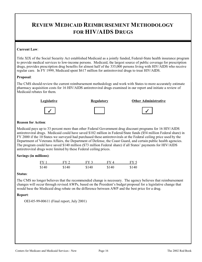### **REVIEW MEDICAID REIMBURSEMENT METHODOLOGY FOR HIV/AIDS DRUGS**

#### **Current Law**:

Title XIX of the Social Security Act established Medicaid as a jointly funded, Federal-State health insurance program to provide medical services to low-income persons. Medicaid, the largest source of public coverage for prescription drugs, provides prescription drug benefits for almost half of the 335,000 persons living with HIV/AIDS who receive regular care. In FY 1999, Medicaid spent \$617 million for antiretroviral drugs to treat HIV/AIDS.

#### **Proposal**:

The CMS should review the current reimbursement methodology and work with States to more accurately estimate pharmacy acquisition costs for 16 HIV/AIDS antiretroviral drugs examined in our report and initiate a review of Medicaid rebates for them.



#### **Reason for Action**:

Medicaid pays up to 33 percent more than other Federal Government drug discount programs for 16 HIV/AIDS antiretroviral drugs. Medicaid could have saved \$102 million in Federal/State funds (\$54 million Federal share) in FY 2000 if the 10 States we surveyed had purchased these antiretrovirals at the Federal ceiling price used by the Department of Veterans Affairs, the Department of Defense, the Coast Guard, and certain public health agencies. The program could have saved \$140 million (\$73 million Federal share) if all States' payments for HIV/AIDS antiretroviral drugs were limited by these Federal ceiling prices.

#### **Savings (in millions)**:

| FY1   | $FY$ 2 | FY 3  | FY4   | FY 5  |
|-------|--------|-------|-------|-------|
| \$140 | \$140  | \$140 | \$140 | \$140 |

#### **Status**:

The CMS no longer believes that the recommended change is necessary. The agency believes that reimbursement changes will occur through revised AWPs, based on the President's budget proposal for a legislative change that would base the Medicaid drug rebate on the difference between AWP and the best price for a drug.

#### **Report**:

OEI-05-99-00611 (Final report, July 2001)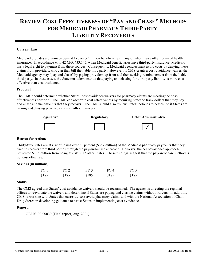### **REVIEW COST EFFECTIVENESS OF "PAY AND CHASE" METHODS FOR MEDICAID PHARMACY THIRD-PARTY LIABILITY RECOVERIES**

#### **Current Law**:

Medicaid provides a pharmacy benefit to over 32 million beneficiaries, many of whom have other forms of health insurance. In accordance with 42 CFR 433.145, when Medicaid beneficiaries have third-party insurance, Medicaid has a legal right to payment from these sources. Consequently, Medicaid agencies must avoid costs by denying these claims from providers, who can then bill the liable third party. However, if CMS grants a cost-avoidance waiver, the Medicaid agency may "pay and chase" by paying providers up front and then seeking reimbursement from the liable third party. In these cases, the State must demonstrate that paying and chasing for third-party liability is more cost effective than cost avoidance.

#### **Proposal**:

The CMS should determine whether States' cost-avoidance waivers for pharmacy claims are meeting the costeffectiveness criterion. The CMS can ascertain cost effectiveness by requiring States to track dollars that they pay and chase and the amounts that they recover. The CMS should also review States' policies to determine if States are paying and chasing pharmacy claims without waivers.



#### **Reason for Action**:

Thirty-two States are at risk of losing over 80 percent (\$367 million) of the Medicaid pharmacy payments that they tried to recover from third parties through the pay-and-chase approach. However, the cost-avoidance approach prevented \$185 million from being at risk in 17 other States. These findings suggest that the pay-and-chase method is not cost effective.

#### **Savings (in millions)**:

| FY 1  | FY 2  | FY 3  | FY 4  | FY 5  |
|-------|-------|-------|-------|-------|
| \$185 | \$185 | \$185 | \$185 | \$185 |

#### **Status**:

The CMS agreed that States' cost-avoidance waivers should be reexamined. The agency is directing the regional offices to reevaluate the waivers and determine if States are paying and chasing claims without waivers. In addition, CMS is working with States that currently cost-avoid pharmacy claims and with the National Association of Chain Drug Stores in developing guidance to assist States in implementing cost avoidance.

#### **Report**:

OEI-03-00-00030 (Final report, Aug. 2001)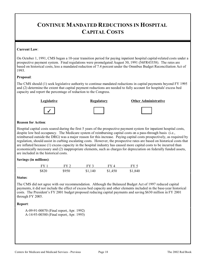### **CONTINUE MANDATED REDUCTIONS IN HOSPITAL CAPITAL COSTS**

#### **Current Law**:

On October 1, 1991, CMS began a 10-year transition period for paying inpatient hospital capital-related costs under a prospective payment system. Final regulations were promulgated August 30, 1991 (56FR43358). The rates are based on historical costs, less a mandated reduction of 7.4 percent under the Omnibus Budget Reconciliation Act of 1993.

#### **Proposal**:

The CMS should (1) seek legislative authority to continue mandated reductions in capital payments beyond FY 1995 and (2) determine the extent that capital payment reductions are needed to fully account for hospitals' excess bed capacity and report the percentage of reduction to the Congress.



#### **Reason for Action**:

Hospital capital costs soared during the first 5 years of the prospective payment system for inpatient hospital costs, despite low bed occupancy. The Medicare system of reimbursing capital costs on a pass-through basis (i.e., reimbursed outside the DRG) was a major reason for this increase. Paying capital costs prospectively, as required by regulation, should assist in curbing escalating costs. However, the prospective rates are based on historical costs that are inflated because (1) excess capacity in the hospital industry has caused more capital costs to be incurred than economically necessary and (2) inappropriate elements, such as charges for depreciation on federally funded assets, are included in the historical costs.

#### **Savings (in millions)**:

| FY <sub>1</sub> | $FY$ 2 | $FY$ 3  | FY4     | FY 5    |
|-----------------|--------|---------|---------|---------|
| \$820           | \$950  | \$1,140 | \$1,450 | \$1,840 |

#### **Status**:

The CMS did not agree with our recommendation. Although the Balanced Budget Act of 1997 reduced capital payments, it did not include the effect of excess bed capacity and other elements included in the base-year historical costs. The President's FY 2001 budget proposed reducing capital payments and saving \$630 million in FY 2001 through FY 2005.

#### **Report**:

A-09-91-00070 (Final report, Apr. 1992) A-14-93-00380 (Final report, Apr. 1993)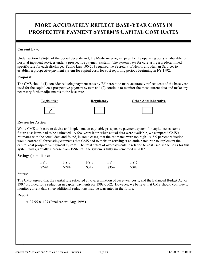### **MORE ACCURATELY REFLECT BASE-YEAR COSTS IN PROSPECTIVE PAYMENT SYSTEM'S CAPITAL COST RATES**

#### **Current Law**:

Under section 1886(d) of the Social Security Act, the Medicare program pays for the operating costs attributable to hospital inpatient services under a prospective payment system. The system pays for care using a predetermined specific rate for each discharge. Public Law 100-203 required the Secretary of Health and Human Services to establish a prospective payment system for capital costs for cost reporting periods beginning in FY 1992.

#### **Proposal**:

The CMS should (1) consider reducing payment rates by 7.5 percent to more accurately reflect costs of the base year used for the capital cost prospective payment system and (2) continue to monitor the most current data and make any necessary further adjustments to the base rate.



#### **Reason for Action**:

While CMS took care to devise and implement an equitable prospective payment system for capital costs, some future cost items had to be estimated. A few years later, when actual data were available, we compared CMS's estimates with the actual data and found, in some cases, that the estimates were too high. A 7.5-percent reduction would correct all forecasting estimates that CMS had to make in arriving at an anticipated rate to implement the capital cost prospective payment system. The total effect of overpayments in relation to cost used as the basis for this system will gradually increase from 1996 until the system is fully implemented in 2002.

#### **Savings (in millions)**:

| FY 1  | FY 2  | FV 3  | FV 4  | FY 5  |
|-------|-------|-------|-------|-------|
| \$249 | \$284 | \$319 | \$354 | \$388 |

#### **Status**:

The CMS agreed that the capital rate reflected an overestimation of base-year costs, and the Balanced Budget Act of 1997 provided for a reduction in capital payments for 1998-2002. However, we believe that CMS should continue to monitor current data since additional reductions may be warranted in the future.

#### **Report**:

A-07-95-01127 (Final report, Aug. 1995)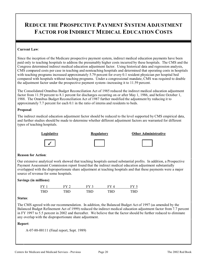## **REDUCE THE PROSPECTIVE PAYMENT SYSTEM ADJUSTMENT FACTOR FOR INDIRECT MEDICAL EDUCATION COSTS**

#### **Current Law**:

Since the inception of the Medicare prospective payment system, indirect medical education payments have been paid only to teaching hospitals to address the presumably higher costs incurred by these hospitals. The CMS and the Congress determined indirect medical education adjustment factor. Using historical data and regression analysis, CMS compared costs per case in teaching and nonteaching hospitals and determined that operating costs in hospitals with teaching programs increased approximately 5.79 percent for every 0.1 resident physician per hospital bed compared with hospitals without teaching programs. Under a congressional mandate, CMS was required to double the adjustment factor under the prospective payment system--increasing it to 11.59 percent.

The Consolidated Omnibus Budget Reconciliation Act of 1985 reduced the indirect medical education adjustment factor from 11.59 percent to 8.1 percent for discharges occurring on or after May 1, 1986, and before October 1, 1988. The Omnibus Budget Reconciliation Act of 1987 further modified the adjustment by reducing it to approximately 7.7 percent for each 0.1 in the ratio of interns and residents to beds.

#### **Proposal**:

The indirect medical education adjustment factor should be reduced to the level supported by CMS empirical data, and further studies should be made to determine whether different adjustment factors are warranted for different types of teaching hospitals.











#### **Reason for Action**:

Our extensive analytical work showed that teaching hospitals earned substantial profits. In addition, a Prospective Payment Assessment Commission report found that the indirect medical education adjustment substantially overlapped with the disproportionate share adjustment at teaching hospitals and that these payments were a major source of revenue for some hospitals.

#### **Savings (in millions)**:

| FV <sub>1</sub> | $FV$ ? | FV 3 | EV 4 |     |
|-----------------|--------|------|------|-----|
| TRD.            | TRD.   | TRD  | TRD. | TRD |

#### **Status**:

The CMS agreed with our recommendation. In addition, the Balanced Budget Act of 1997 (as amended by the Balanced Budget Refinement Act of 1999) reduced the indirect medical education adjustment factor from 7.7 percent in FY 1997 to 5.5 percent in 2002 and thereafter. We believe that the factor should be further reduced to eliminate any overlap with the disproportionate share adjustment.

#### **Report**:

A-07-88-00111 (Final report, Sept. 1989)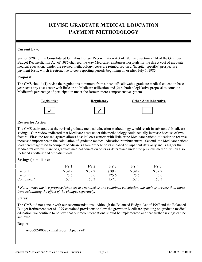### **REVISE GRADUATE MEDICAL EDUCATION PAYMENT METHODOLOGY**

#### **Current Law**:

Section 9202 of the Consolidated Omnibus Budget Reconciliation Act of 1985 and section 9314 of the Omnibus Budget Reconciliation Act of 1986 changed the way Medicare reimburses hospitals for the direct cost of graduate medical education. Under the revised methodology, costs are reimbursed on a "hospital specific" prospective payment basis, which is retroactive to cost reporting periods beginning on or after July 1, 1985.

#### **Proposal**:

The CMS should (1) revise the regulations to remove from a hospital's allowable graduate medical education baseyear costs any cost center with little or no Medicare utilization and (2) submit a legislative proposal to compute Medicare's percentage of participation under the former, more comprehensive system.



#### Legislative **Regulatory Other Administrative Constanting Constanting Constanting Constanting Constanting Constanting Constanting Constanting Constanting Constanting Constanting Constanting Constanting Constanting Const**







#### **Reason for Action**:

The CMS estimated that the revised graduate medical education methodology would result in substantial Medicare savings. Our review indicated that Medicare costs under this methodology could actually increase because of two factors. First, the revised system allows hospital cost centers with little or no Medicare patient utilization to receive increased importance in the calculation of graduate medical education reimbursement. Second, the Medicare patient load percentage used to compute Medicare's share of these costs is based on inpatient data only and is higher than Medicare's overall share of graduate medical education costs as determined under the previous method, which also included ancillary and outpatient data.

#### **Savings (in millions)**:

|            | FV     | FV     | FY 3   | $FV\Lambda$ | $FV$ 5 |
|------------|--------|--------|--------|-------------|--------|
| Factor 1   | \$39.2 | \$39.2 | \$39.2 | \$39.2      | \$39.2 |
| Factor 2   | 125.6  | 125.6  | 125.6  | 125.6       | 125.6  |
| Combined * | 157.3  | 157.3  | 157.3  | 157.3       | 157.3  |

*\* Note: When the two proposed changes are handled as one combined calculation, the savings are less than those from calculating the effect of the changes separately.* 

#### **Status**:

The CMS did not concur with our recommendations. Although the Balanced Budget Act of 1997 and the Balanced Budget Refinement Act of 1999 contained provisions to slow the growth in Medicare spending on graduate medical education, we continue to believe that our recommendations should be implemented and that further savings can be achieved.

#### **Report**:

```
A-06-92-00020 (Final report, Apr. 1994)
```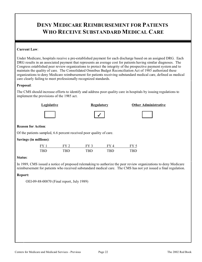### **DENY MEDICARE REIMBURSEMENT FOR PATIENTS WHO RECEIVE SUBSTANDARD MEDICAL CARE**

#### **Current Law**:

Under Medicare, hospitals receive a pre-established payment for each discharge based on an assigned DRG. Each DRG results in an associated payment that represents an average cost for patients having similar diagnoses. The Congress established peer review organizations to protect the integrity of the prospective payment system and to maintain the quality of care. The Consolidated Omnibus Budget Reconciliation Act of 1985 authorized these organizations to deny Medicare reimbursement for patients receiving substandard medical care, defined as medical care clearly failing to meet professionally recognized standards.

#### **Proposal**:

The CMS should increase efforts to identify and address poor quality care in hospitals by issuing regulations to implement the provisions of the 1985 act.



#### **Reason for Action**:

Of the patients sampled, 6.6 percent received poor quality of care.

#### **Savings (in millions)**:

| FY1        | FY 2 | FV 3 | FV 4 | FY.  |
|------------|------|------|------|------|
| <b>TRD</b> | TRD  | TRD  | TRD  | TRD. |

#### **Status**:

In 1989, CMS issued a notice of proposed rulemaking to authorize the peer review organizations to deny Medicare reimbursement for patients who received substandard medical care. The CMS has not yet issued a final regulation.

#### **Report:**

OEI-09-88-00870 (Final report, July 1989)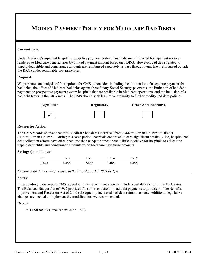## **MODIFY PAYMENT POLICY FOR MEDICARE BAD DEBTS**

#### **Current Law**:

Under Medicare's inpatient hospital prospective payment system, hospitals are reimbursed for inpatient services rendered to Medicare beneficiaries by a fixed payment amount based on a DRG. However, bad debts related to unpaid deductible and coinsurance amounts are reimbursed separately as pass-through items (i.e., reimbursed outside the DRG) under reasonable cost principles.

#### **Proposal**:

We presented an analysis of four options for CMS to consider, including the elimination of a separate payment for bad debts, the offset of Medicare bad debts against beneficiary Social Security payments, the limitation of bad debt payments to prospective payment system hospitals that are profitable in Medicare operations, and the inclusion of a bad debt factor in the DRG rates. The CMS should seek legislative authority to further modify bad debt policies.



#### **Reason for Action**:

The CMS records showed that total Medicare bad debts increased from \$366 million in FY 1993 to almost \$574 million in FY 1997. During this same period, hospitals continued to earn significant profits. Also, hospital bad debt collection efforts have often been less than adequate since there is little incentive for hospitals to collect the unpaid deductible and coinsurance amounts when Medicare pays these amounts.

#### **Savings (in millions)**:\*

| FY <sub>1</sub> | FY 2. | $FY$ 3 | FV 4  | $FY \leq$ |
|-----------------|-------|--------|-------|-----------|
| \$340           | \$485 | \$485  | \$485 | \$485     |

*\*Amounts total the savings shown in the President's FY 2001 budget.* 

#### **Status**:

In responding to our report, CMS agreed with the recommendation to include a bad debt factor in the DRG rates. The Balanced Budget Act of 1997 provided for some reduction of bad debt payments to providers. The Benefits Improvement and Protection Act of 2000 subsequently increased bad debt reimbursement. Additional legislative changes are needed to implement the modifications we recommended.

#### **Report**:

A-14-90-00339 (Final report, June 1990)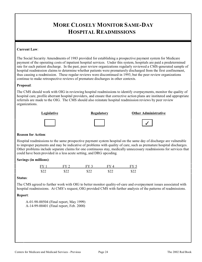### **MORE CLOSELY MONITOR SAME-DAY HOSPITAL READMISSIONS**

#### **Current Law**:

The Social Security Amendments of 1983 provided for establishing a prospective payment system for Medicare payment of the operating costs of inpatient hospital services. Under this system, hospitals are paid a predetermined rate for each patient discharge. In the past, peer review organizations regularly reviewed a CMS-generated sample of hospital readmission claims to determine whether patients were prematurely discharged from the first confinement, thus causing a readmission. These regular reviews were discontinued in 1993, but the peer review organizations continue to make retrospective reviews of premature discharges in other contexts.

#### **Proposal**:

The CMS should work with OIG in reviewing hospital readmissions to identify overpayments, monitor the quality of hospital care, profile aberrant hospital providers, and ensure that corrective action plans are instituted and appropriate referrals are made to the OIG. The CMS should also reinstate hospital readmission reviews by peer review organizations.



#### **Reason for Action**:

Hospital readmissions to the same prospective payment system hospital on the same day of discharge are vulnerable to improper payments and may be indicative of problems with quality of care, such as premature hospital discharges. Other problems include separate claims for one continuous stay, medically unnecessary readmissions for services that could have been provided in a less acute setting, and DRG upcoding.

#### **Savings (in millions)**:

| $\Gamma V$ | $EV$ $\gamma$ | $E$ $V$ $\gamma$     |      |      |
|------------|---------------|----------------------|------|------|
| \$22       | ፍንን           | $\mathcal{R}$<br>╜┵┵ | \$22 | \$22 |

#### **Status**:

The CMS agreed to further work with OIG to better monitor quality-of-care and overpayment issues associated with hospital readmissions. At CMS's request, OIG provided CMS with further analysis of the patterns of readmissions.

#### **Report**:

A-01-98-00504 (Final report, May 1999) A-14-99-00401 (Final report, Feb. 2000)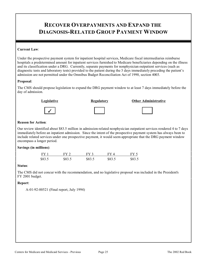### **RECOVER OVERPAYMENTS AND EXPAND THE DIAGNOSIS-RELATED GROUP PAYMENT WINDOW**

#### **Current Law**:

Under the prospective payment system for inpatient hospital services, Medicare fiscal intermediaries reimburse hospitals a predetermined amount for inpatient services furnished to Medicare beneficiaries depending on the illness and its classification under a DRG. Currently, separate payments for nonphysician outpatient services (such as diagnostic tests and laboratory tests) provided to the patient during the 3 days immediately preceding the patient's admission are not permitted under the Omnibus Budget Reconciliation Act of 1990, section 4003.

#### **Proposal**:

The CMS should propose legislation to expand the DRG payment window to at least 7 days immediately before the day of admission.







#### **Reason for Action**:

Our review identified about \$83.5 million in admission-related nonphysician outpatient services rendered 4 to 7 days immediately before an inpatient admission. Since the intent of the prospective payment system has always been to include related services under one prospective payment, it would seem appropriate that the DRG payment window encompass a longer period.

#### **Savings (in millions)**:

| FY1    | FY 2   | FY 3   | FY 4   | FY <sub>5</sub> |
|--------|--------|--------|--------|-----------------|
| \$83.5 | \$83.5 | \$83.5 | \$83.5 | \$83.5          |

#### **Status**:

The CMS did not concur with the recommendation, and no legislative proposal was included in the President's FY 2001 budget.

#### **Report**:

A-01-92-00521 (Final report, July 1994)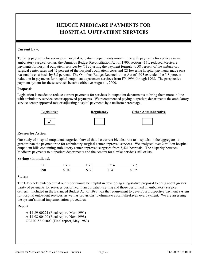### **REDUCE MEDICARE PAYMENTS FOR HOSPITAL OUTPATIENT SERVICES**

#### **Current Law**:

To bring payments for services in hospital outpatient departments more in line with payments for services in an ambulatory surgical center, the Omnibus Budget Reconciliation Act of 1990, section 4151, reduced Medicare payments for hospital outpatient services by (1) adjusting the payment formula to 58 percent of the ambulatory surgical center rates and 42 percent of the hospital's outpatient costs and (2) lowering hospital payments made on a reasonable cost basis by 5.8 percent. The Omnibus Budget Reconciliation Act of 1993 extended the 5.8-percent reduction in payments for hospital outpatient department services from FY 1996 through 1998. The prospective payment system for these services became effective August 1, 2000.

#### **Proposal**:

Legislation is needed to reduce current payments for services in outpatient departments to bring them more in line with ambulatory service center approved payments. We recommended paying outpatient departments the ambulatory service center approved rate or adjusting hospital payments by a uniform percentage.



#### **Reason for Action**:

Our study of hospital outpatient surgeries showed that the current blended rate to hospitals, in the aggregate, is greater than the payment rate for ambulatory surgical center approved services. We analyzed over 2 million hospital outpatient bills containing ambulatory center approved surgeries from 5,421 hospitals. The disparity between Medicare payments to outpatient departments and the centers for similar services still exists.

#### **Savings (in millions)**:

| FV <sub>1</sub> | $FV$ ? | $FY$ 3 | $FY \Delta$ | FVf   |
|-----------------|--------|--------|-------------|-------|
| \$90            | \$107  | \$126  | \$147       | \$175 |

#### **Status**:

The CMS acknowledged that our report would be helpful in developing a legislative proposal to bring about greater parity of payments for services performed in an outpatient setting and those performed in ambulatory surgical centers. Included in the Balanced Budget Act of 1997 was the requirement to develop a prospective payment system for hospital outpatient services, as well as provisions to eliminate a formula-driven overpayment. We are assessing the system's initial implementation procedures.

#### **Report**:

A-14-89-00221 (Final report, Mar. 1991) A-14-98-00400 (Final report, Nov. 1998) OEI-09-88-01003 (Final report, May 1989)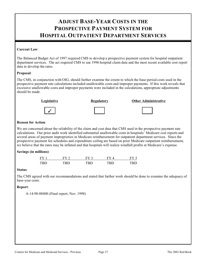# **ADJUST BASE-YEAR COSTS IN THE PROSPECTIVE PAYMENT SYSTEM FOR HOSPITAL OUTPATIENT DEPARTMENT SERVICES**

### **Current Law**:

The Balanced Budget Act of 1997 required CMS to develop a prospective payment system for hospital outpatient department services. The act required CMS to use 1996 hospital claim data and the most recent available cost report data to develop the rates.

#### **Proposal**:

The CMS, in conjunction with OIG, should further examine the extent to which the base-period costs used in the prospective payment rate calculations included unallowable costs and improper payments. If this work reveals that excessive unallowable costs and improper payments were included in the calculations, appropriate adjustments should be made.



#### **Reason for Action**:

We are concerned about the reliability of the claim and cost data that CMS used in the prospective payment rate calculations. Our prior audit work identified substantial unallowable costs in hospitals' Medicare cost reports and several areas of payment improprieties in Medicare reimbursement for outpatient department services. Since the prospective payment fee schedules and expenditure ceiling are based on prior Medicare outpatient reimbursement, we believe that the rates may be inflated and that hospitals will realize windfall profits at Medicare's expense.

# **Savings (in millions)**:

| FV    |     |     |     |     |
|-------|-----|-----|-----|-----|
| TRD - | TRN | rrn | грг | TDI |

#### **Status**:

The CMS agreed with our recommendations and stated that further work should be done to examine the adequacy of base-year costs.

#### **Report**:

A-14-98-00400 (Final report, Nov. 1998)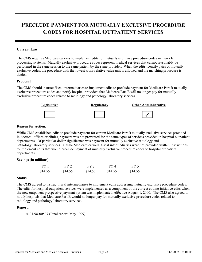# **PRECLUDE PAYMENT FOR MUTUALLY EXCLUSIVE PROCEDURE CODES FOR HOSPITAL OUTPATIENT SERVICES**

### **Current Law**:

The CMS requires Medicare carriers to implement edits for mutually exclusive procedure codes in their claim processing systems. Mutually exclusive procedure codes represent medical services that cannot reasonably be performed in the same session to the same patient by the same provider. When the edits identify pairs of mutually exclusive codes, the procedure with the lowest work-relative value unit is allowed and the matching procedure is denied.

#### **Proposal**:

The CMS should instruct fiscal intermediaries to implement edits to preclude payment for Medicare Part B mutually exclusive procedure codes and notify hospital providers that Medicare Part B will no longer pay for mutually exclusive procedure codes related to radiology and pathology/laboratory services.



### **Reason for Action**:

While CMS established edits to preclude payment for certain Medicare Part B mutually exclusive services provided in doctors' offices or clinics, payment was not prevented for the same types of services provided in hospital outpatient departments. Of particular dollar significance was payment for mutually exclusive radiology and pathology/laboratory services. Unlike Medicare carriers, fiscal intermediaries were not provided written instructions to implement edits that would preclude payment of mutually exclusive procedure codes to hospital outpatient departments.

# **Savings (in millions)**:

| $FY$ 1  | FY 2.   | $FY$ 3  | FY4     | FY <sub>5</sub> |
|---------|---------|---------|---------|-----------------|
| \$14.55 | \$14.55 | \$14.55 | \$14.55 | \$14.55         |

#### **Status**:

The CMS agreed to instruct fiscal intermediaries to implement edits addressing mutually exclusive procedure codes. The edits for hospital outpatient services were implemented as a component of the correct coding initiative edits when the new outpatient prospective payment system was implemented, effective August 1, 2000. The CMS also agreed to notify hospitals that Medicare Part B would no longer pay for mutually exclusive procedure codes related to radiology and pathology/laboratory services.

# **Report**:

A-01-98-00507 (Final report, May 1999)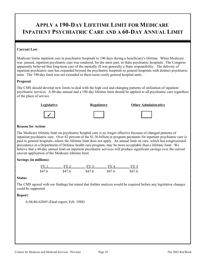# **APPLY A 190-DAY LIFETIME LIMIT FOR MEDICARE INPATIENT PSYCHIATRIC CARE AND A 60-DAY ANNUAL LIMIT**

### **Current Law**:

Medicare limits inpatient care in psychiatric hospitals to 190 days during a beneficiary's lifetime. When Medicare was passed, inpatient psychiatric care was rendered, for the most part, in State psychiatric hospitals. The Congress apparently believed that long-term care of the mentally ill was generally a State responsibility. The delivery of inpatient psychiatric care has expanded beyond the psychiatric hospitals to general hospitals with distinct psychiatric units. The 190-day limit was not extended to these more costly general hospital units.

#### **Proposal**:

The CMS should develop new limits to deal with the high cost and changing patterns of utilization of inpatient psychiatric services. A 60-day annual and a 190-day lifetime limit should be applied to all psychiatric care regardless of the place of service.



### **Reason for Action**:

The Medicare lifetime limit on psychiatric hospital care is no longer effective because of changed patterns of inpatient psychiatric care. Over 82 percent of the \$1.36 billion in program payments for inpatient psychiatric care is paid to general hospitals--where the lifetime limit does not apply. An annual limit on care, which has congressional precedence in a Department of Defense health care program, may be more acceptable than a lifetime limit. We believe that a 60-day annual limit on inpatient psychiatric services will produce significant savings over the current uneven application of the Medicare lifetime limit.

# **Savings (in millions)**:

| $FY$ 1 | FY 2.  | $FY$ 3 | FV 4   | FY <sub>5</sub> |
|--------|--------|--------|--------|-----------------|
| \$47.6 | \$47.6 | \$47.6 | \$47.6 | \$47.6          |

#### **Status**:

The CMS agreed with our findings but stated that further analysis would be required before any legislative changes could be supported.

# **Report**:

A-06-86-62045 (Final report, Feb. 1988)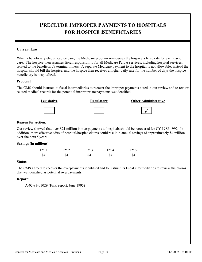# **PRECLUDE IMPROPER PAYMENTS TO HOSPITALS FOR HOSPICE BENEFICIARIES**

# **Current Law**:

When a beneficiary elects hospice care, the Medicare program reimburses the hospice a fixed rate for each day of care. The hospice then assumes fiscal responsibility for all Medicare Part A services, including hospital services, related to the beneficiary's terminal illness. A separate Medicare payment to the hospital is not allowable; instead the hospital should bill the hospice, and the hospice then receives a higher daily rate for the number of days the hospice beneficiary is hospitalized.

# **Proposal**:

The CMS should instruct its fiscal intermediaries to recover the improper payments noted in our review and to review related medical records for the potential inappropriate payments we identified.



# Legislative **Regulatory Communistrative Communistrative Regulatory Other Administrative**





# **Reason for Action**:

Our review showed that over \$21 million in overpayments to hospitals should be recovered for CY 1988-1992. In addition, more effective edits of hospital/hospice claims could result in annual savings of approximately \$4 million over the next 5 years.

# **Savings (in millions)**:



# **Status**:

The CMS agreed to recover the overpayments identified and to instruct its fiscal intermediaries to review the claims that we identified as potential overpayments.

# **Report**:

A-02-93-01029 (Final report, June 1995)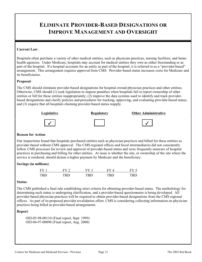# **ELIMINATE PROVIDER-BASED DESIGNATIONS OR IMPROVE MANAGEMENT AND OVERSIGHT**

### **Current Law**:

Hospitals often purchase a variety of other medical entities, such as physician practices, nursing facilities, and home health agencies. Under Medicare, hospitals may account for medical entities they own as either freestanding or as part of the hospital. If a hospital accounts for an entity as part of the hospital, it is referred to as a "provider-based" arrangement. This arrangement requires approval from CMS. Provider-based status increases costs for Medicare and its beneficiaries.

#### **Proposal**:

The CMS should eliminate provider-based designations for hospital-owned physician practices and other entities. Otherwise, CMS should (1) seek legislation to impose penalties when hospitals fail to report ownership of other entities or bill for these entities inappropriately; (2) improve the data systems used to identify and track providerbased designations and clarify policies and procedures for tracking, approving, and evaluating provider-based status; and (3) require that all hospitals claiming provider-based status reapply.



#### **Reason for Action**:

Our inspections found that hospitals purchased entities such as physician practices and billed for these entities as provider-based without CMS approval. The CMS regional offices and fiscal intermediaries did not consistently follow CMS processes for review and approval of provider-based status and were frequently unaware of hospital practices in purchasing and billing for other entities. At issue is whether the site, or ownership of the site where the service is rendered, should dictate a higher payment by Medicare and the beneficiary.

#### **Savings (in millions)**:

| FY 1       | $FV$ 2 | EV 3 | FV. |     |
|------------|--------|------|-----|-----|
| <b>TRD</b> | ren    | TRN  | TRN | וטו |

#### **Status**:

The CMS published a final rule establishing strict criteria for obtaining provider-based status. The metholology for determining such status is undergoing clarification, and a provider-based questionnaire is being developed. All provider-based physician practices will be required to obtain provider-based designations from the CMS regional offices. As part of its proposed provider revalidation effort, CMS is considering collecting information on physician practices being billed as provider-based arrangements.

#### **Report**:

OEI-05-98-00110 (Final report, Sept. 1999) OEI-04-97-00090 (Final report, Aug. 2000)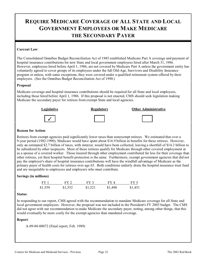# **REQUIRE MEDICARE COVERAGE OF ALL STATE AND LOCAL GOVERNMENT EMPLOYEES OR MAKE MEDICARE THE SECONDARY PAYER**

### **Current Law**:

The Consolidated Omnibus Budget Reconciliation Act of 1985 established Medicare Part A coverage and payment of hospital insurance contributions for new State and local government employees hired after March 31, 1986. However, employees hired before April 1, 1986, are not covered by Medicare Part A unless the government entity has voluntarily agreed to cover groups of its employees under the full Old-Age, Survivors and Disability Insurance program or unless, with some exceptions, they were covered under a qualified retirement system offered by their employers. (See the Omnibus Budget Reconciliation Act of 1990.)

### **Proposal**:

Medicare coverage and hospital insurance contributions should be required for all State and local employees, including those hired before April 1, 1986. If this proposal is not enacted, CMS should seek legislation making Medicare the secondary payer for retirees from exempt State and local agencies.



#### **Reason for Action**:

Retirees from exempt agencies paid significantly lower taxes than nonexempt retirees. We estimated that over a 9-year period (1982-1990), Medicare would have spent about \$16.9 billion in benefits for these retirees. However, only an estimated \$2.7 billion of taxes, with interest, would have been collected, leaving a shortfall of \$14.2 billion to be subsidized by other taxpayers. Most of these retirees qualify for Medicare through other covered employment or as a spouse of a covered worker. Those insured through other employment contributed far less for their coverage than other retirees, yet their hospital benefit protection is the same. Furthermore, exempt government agencies that did not pay the employer's share of hospital insurance contributions will have the windfall advantage of Medicare as the primary payer of health costs for retirees over age 65. Both conditions unfairly drain the hospital insurance trust fund and are inequitable to employees and employers who must contribute.

#### **Savings (in millions)**:

| FY 1    | FY 2    | FY 3    | FY 4    | FY 5    |
|---------|---------|---------|---------|---------|
| \$1,559 | \$1,552 | \$1,521 | \$1,490 | \$1,451 |

#### **Status**:

In responding to our report, CMS agreed with the recommendation to mandate Medicare coverage for all State and local government employees. However, the proposal was not included in the President's FY 2003 budget. The CMS did not agree with our recommendation to make Medicare the secondary payer, noting, among other things, that this would eventually be more costly for the exempt agencies than mandated coverage.

#### **Report**:

A-09-88-00072 (Final report, Feb. 1989)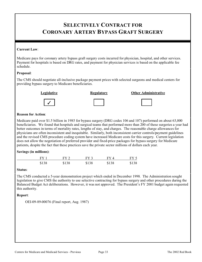# **SELECTIVELY CONTRACT FOR CORONARY ARTERY BYPASS GRAFT SURGERY**

### **Current Law**:

Medicare pays for coronary artery bypass graft surgery costs incurred for physician, hospital, and other services. Payment for hospitals is based on DRG rates, and payment for physician services is based on the applicable fee schedule.

#### **Proposal**:

The CMS should negotiate all-inclusive package payment prices with selected surgeons and medical centers for providing bypass surgery to Medicare beneficiaries.





**Legislative Regulatory Regulatory Other Administrative** 



# **Reason for Action**:

Medicare paid over \$1.5 billion in 1985 for bypass surgery (DRG codes 106 and 107) performed on about 63,000 beneficiaries. We found that hospitals and surgical teams that performed more than 200 of these surgeries a year had better outcomes in terms of mortality rates, lengths of stay, and charges. The reasonable charge allowances for physicians are often inconsistent and inequitable. Similarly, both inconsistent carrier controls/payment guidelines and the revised CMS procedure coding system have increased Medicare costs for this surgery. Current legislation does not allow the negotiation of preferred provider and fixed-price packages for bypass surgery for Medicare patients, despite the fact that these practices save the private sector millions of dollars each year.

#### **Savings (in millions)**:

| $FY$ 1 | FY 2  | $FY$ 3 | FY4   | FY 5  |
|--------|-------|--------|-------|-------|
| \$138  | \$138 | \$138  | \$138 | \$138 |

#### **Status**:

The CMS conducted a 5-year demonstration project which ended in December 1998. The Administration sought legislation to give CMS the authority to use selective contracting for bypass surgery and other procedures during the Balanced Budget Act deliberations. However, it was not approved. The President's FY 2001 budget again requested this authority.

#### **Report**:

OEI-09-89-00076 (Final report, Aug. 1987)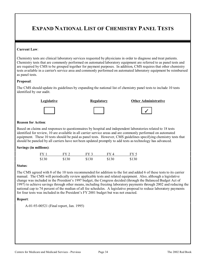# **EXPAND NATIONAL LIST OF CHEMISTRY PANEL TESTS**

### **Current Law**:

Chemistry tests are clinical laboratory services requested by physicians in order to diagnose and treat patients. Chemistry tests that are commonly performed on automated laboratory equipment are referred to as panel tests and are required by CMS to be grouped together for payment purposes. In addition, CMS requires that other chemistry tests available in a carrier's service area and commonly performed on automated laboratory equipment be reimbursed as panel tests.

#### **Proposal**:

The CMS should update its guidelines by expanding the national list of chemistry panel tests to include 10 tests identified by our audit.





#### **Reason for Action**:

Based on claims and responses to questionnaires by hospital and independent laboratories related to 18 tests identified for review, 10 are available in all carrier service areas and are commonly performed on automated equipment. These 10 tests should be paid as panel tests. However, CMS guidelines specifying chemistry tests that should be paneled by all carriers have not been updated promptly to add tests as technology has advanced.

#### **Savings (in millions)**:

| FY 1  | $FY$ 2 | $FY$ 3 | FY4   | FY 5  |
|-------|--------|--------|-------|-------|
| \$130 | \$130  | \$130  | \$130 | \$130 |

#### **Status**:

The CMS agreed with 8 of the 10 tests recommended for addition to the list and added 6 of these tests to its carrier manual. The CMS will periodically review applicable tests and related equipment. Also, although a legislative change was included in the President's 1997 budget, the Congress decided (through the Balanced Budget Act of 1997) to achieve savings through other means, including freezing laboratory payments through 2002 and reducing the national cap to 74 percent of the median of all fee schedules. A legislative proposal to reduce laboratory payments for four tests was included in the President's FY 2001 budget but was not enacted.

#### **Report**:

A-01-93-00521 (Final report, Jan. 1995)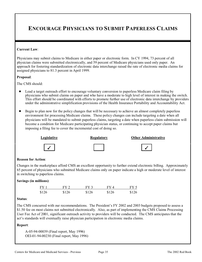# **ENCOURAGE PHYSICIANS TO SUBMIT PAPERLESS CLAIMS**

### **Current Law**:

Physicians may submit claims to Medicare in either paper or electronic form. In CY 1994, 73 percent of all physician claims were submitted electronically, and 59 percent of Medicare physicians used only paper. An approach for fostering standardization of electronic data interchange raised the rate of electronic media claims for assigned physicians to 81.3 percent in April 1999.

### **Proposal**:

The CMS should:

- Lead a target outreach effort to encourage voluntary conversion to paperless Medicare claim filing by physicians who submit claims on paper and who have a moderate to high level of interest in making the switch. This effort should be coordinated with efforts to promote further use of electronic data interchange by providers under the administrative simplification provisions of the Health Insurance Portability and Accountability Act.
- Begin to plan now for the policy changes that will be necessary to achieve an almost completely paperless environment for processing Medicare claims. These policy changes can include targeting a date when all physicians will be mandated to submit paperless claims, targeting a date when paperless claim submission will become a condition for Medicare participating physician status, or continuing to accept paper claims but imposing a filing fee to cover the incremental cost of doing so.











# **Reason for Action**:

Changes in the marketplace afford CMS an excellent opportunity to further extend electronic billing. Approximately 65 percent of physicians who submitted Medicare claims only on paper indicate a high or moderate level of interest in switching to paperless claims.

#### **Savings (in millions)**:

| FY1   | FY 2  | $FY$ 3 | FY4   | FY 5  |
|-------|-------|--------|-------|-------|
| \$126 | \$126 | \$126  | \$126 | \$126 |

#### **Status**:

The CMS concurred with our recommendations. The President's FY 2002 and 2003 budgets proposed to assess a \$1.50 fee on most claims not submitted electronically. Also, as part of implementing the CMS Claims Processing User Fee Act of 2001, significant outreach activity to providers will be conducted. The CMS anticipates that the act's standards will eventually raise physician participation in electronic media claims.

#### **Report**:

A-05-94-00039 (Final report, May 1996) OEI-01-94-00230 (Final report, May 1996)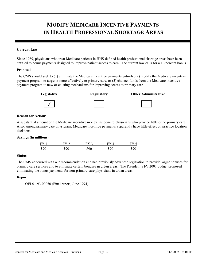# **MODIFY MEDICARE INCENTIVE PAYMENTS IN HEALTH PROFESSIONAL SHORTAGE AREAS**

# **Current Law**:

Since 1989, physicians who treat Medicare patients in HHS-defined health professional shortage areas have been entitled to bonus payments designed to improve patient access to care. The current law calls for a 10-percent bonus.

# **Proposal**:

The CMS should seek to (1) eliminate the Medicare incentive payments entirely, (2) modify the Medicare incentive payment program to target it more effectively to primary care, or (3) channel funds from the Medicare incentive payment program to new or existing mechanisms for improving access to primary care.

### **Legislative Community Regulatory Community Other Administrative**



| Regula <u>tor</u> |  |
|-------------------|--|
|                   |  |

# **Reason for Action**:

A substantial amount of the Medicare incentive money has gone to physicians who provide little or no primary care. Also, among primary care physicians, Medicare incentive payments apparently have little effect on practice location decisions.

#### **Savings (in millions)**:

| FY 1 | FY 2 | FY 3 | FY4  | FY 5 |
|------|------|------|------|------|
| \$90 | \$90 | \$90 | \$90 | \$90 |

#### **Status**:

The CMS concurred with our recommendation and had previously advanced legislation to provide larger bonuses for primary care services and to eliminate certain bonuses in urban areas. The President's FY 2001 budget proposed eliminating the bonus payments for non-primary-care physicians in urban areas.

#### **Report**:

OEI-01-93-00050 (Final report, June 1994)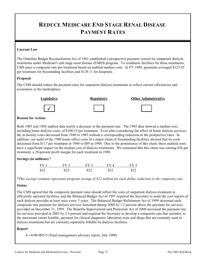# **REDUCE MEDICARE END STAGE RENAL DISEASE PAYMENT RATES**

### **Current Law**:

The Omnibus Budget Reconciliation Act of 1981 established a prospective payment system for outpatient dialysis treatments under Medicare's end stage renal disease (ESRD) program. To reimburse facilities for these treatments, CMS pays a composite rate per treatment based on audited median costs. In FY 1989, payments averaged \$125.05 per treatment for freestanding facilities and \$129.11 for hospitals.

### **Proposal**:

The CMS should reduce the payment rates for outpatient dialysis treatments to reflect current efficiencies and economies in the marketplace.



# **Reason for Action**:

Both 1985 and 1988 audited data justify a decrease in the payment rate. The 1985 data showed a median cost, including home dialysis costs, of \$108.19 per treatment. Even after considering the effect of home dialysis services, the in-facility costs decreased from 1980 to 1985 without a corresponding reduction in the prospective rates. In addition, our audit of the 1988 home office costs of a major chain of freestanding facilities showed that its costs decreased from \$117 per treatment in 1980 to \$89 in 1988. Due to the prominence of this chain, these audited costs have a significant impact on the median cost of dialysis treatments. We estimated that this chain was earning \$36 per treatment, a 29-percent profit margin for each treatment in 1988.

# **Savings (in millions)**:\*

| $FY$ 1 | $FV$ ? | EV <sub>3</sub> | EV 4       |      |
|--------|--------|-----------------|------------|------|
| \$22   | \$22   | \$22            | ぐつつ<br>╜┵┵ | \$22 |

*\*This savings estimate represents program savings of \$22 million for each dollar reduction in the composite rate.* 

#### **Status**:

The CMS agreed that the composite payment rates should reflect the costs of outpatient dialysis treatment in efficiently operated facilities, and the Balanced Budget Act of 1997 required the Secretary to audit the cost reports of each dialysis provider at least once every 3 years. The Balanced Budget Refinement Act of 1999 increased each composite rate payment for dialysis services furnished during 2000 by 1.2 percent above the payment for services provided on December 31, 1999. The Benefits Improvement and Protection Act of 2000 increased the payment rate for services provided in 2001 by 2.4 percent and required the Secretary to develop a composite rate that includes, to the maximum extent feasible, payment for clinical diagnostic laboratory tests and drugs that are routinely used in dialysis treatments but are currently separately billable by dialysis facilities.

#### **Report**:

A-14-90-00215 (Final management advisory report, July 1990)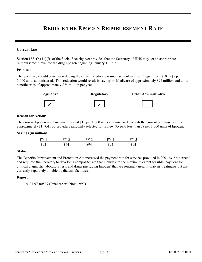# **REDUCE THE EPOGEN REIMBURSEMENT RATE**

#### **Current Law**:

Section 1881(b)(11)(B) of the Social Security Act provides that the Secretary of HHS may set an appropriate reimbursement level for the drug Epogen beginning January 1, 1995.

#### **Proposal**:

The Secretary should consider reducing the current Medicare reimbursement rate for Epogen from \$10 to \$9 per 1,000 units administered. This reduction would result in savings to Medicare of approximately \$94 million and to its beneficiaries of approximately \$24 million per year.



#### **Legislative Construction Regulatory Construction Construction Construction Construction Regulatory Other Administrative**



#### **Reason for Action**:

The current Epogen reimbursement rate of \$10 per 1,000 units administered exceeds the current purchase cost by approximately \$1. Of 105 providers randomly selected for review, 95 paid less than \$9 per 1,000 units of Epogen.

### **Savings (in millions)**:

| FY <sub>1</sub> | FY 2 | $FY$ 3 | FY 4 | FY 5 |
|-----------------|------|--------|------|------|
| \$94            | 894  | \$94   | \$94 | \$94 |

#### **Status**:

The Benefits Improvement and Protection Act increased the payment rate for services provided in 2001 by 2.4 percent and required the Secretary to develop a composite rate that includes, to the maximum extent feasible, payment for clinical diagnostic laboratory tests and drugs (including Epogen) that are routinely used in dialysis treatments but are currently separately billable by dialysis facilities.

#### **Report**

A-01-97-00509 (Final report, Nov. 1997)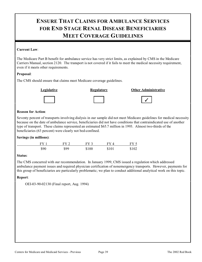# **ENSURE THAT CLAIMS FOR AMBULANCE SERVICES FOR END STAGE RENAL DISEASE BENEFICIARIES MEET COVERAGE GUIDELINES**

# **Current Law**:

The Medicare Part B benefit for ambulance service has very strict limits, as explained by CMS in the Medicare Carriers Manual, section 2120. The transport is not covered if it fails to meet the medical necessity requirement, even if it meets other requirements.

# **Proposal**:

The CMS should ensure that claims meet Medicare coverage guidelines.



**Legislative Regulatory Other Administrative** 





# �

# **Reason for Action**:

Seventy percent of transports involving dialysis in our sample did not meet Medicare guidelines for medical necessity because on the date of ambulance service, beneficiaries did not have conditions that contraindicated use of another type of transport. These claims represented an estimated \$65.7 million in 1993. Almost two-thirds of the beneficiaries (63 percent) were clearly not bed-confined.

# **Savings (in millions)**:

| FY <sub>1</sub> | FY 2 | $FY$ 3 | FY 4  | FY 5  |
|-----------------|------|--------|-------|-------|
| \$90            | \$99 | \$100  | \$101 | \$102 |

# **Status**:

The CMS concurred with our recommendation. In January 1999, CMS issued a regulation which addressed ambulance payment issues and required physician certification of nonemergency transports. However, payments for this group of beneficiaries are particularly problematic; we plan to conduct additional analytical work on this topic.

# **Report**:

OEI-03-90-02130 (Final report, Aug. 1994)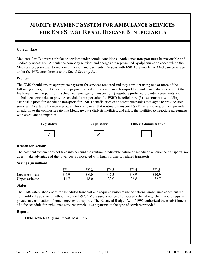# **MODIFY PAYMENT SYSTEM FOR AMBULANCE SERVICES FOR END STAGE RENAL DISEASE BENEFICIARIES**

# **Current Law**:

Medicare Part B covers ambulance services under certain conditions. Ambulance transport must be reasonable and medically necessary. Ambulance company services and charges are represented by alphanumeric codes which the Medicare program uses to analyze utilization and payments. Persons with ESRD are entitled to Medicare coverage under the 1972 amendments to the Social Security Act.

### **Proposal**:

The CMS should ensure appropriate payment for services rendered and may consider using one or more of the following strategies: (1) establish a payment schedule for ambulance transport to maintenance dialysis, and set the fee lower than that paid for unscheduled, emergency transports; (2) negotiate preferred provider agreements with ambulance companies to provide scheduled transportation for ESRD beneficiaries; (3) use competitive bidding to establish a price for scheduled transports for ESRD beneficiaries or to select companies that agree to provide such services; (4) establish a rebate program for companies that routinely transport ESRD beneficiaries; and (5) provide an add-on to the composite rate that Medicare pays dialysis facilities, and allow the facilities to negotiate agreements with ambulance companies.



#### **Reason for Action**:

The payment system does not take into account the routine, predictable nature of scheduled ambulance transports, nor does it take advantage of the lower costs associated with high-volume scheduled transports.

# **Savings (in millions)**:

|                | FV    | FV 2  | FV 3 | FYA    | FV 5   |
|----------------|-------|-------|------|--------|--------|
| Lower estimate | \$4.9 | S 6.0 |      | \$ 8.9 | \$10.9 |
| Upper estimate | 14.7  | l 8.0 | 22.0 | 26.8   | 32.7   |

#### **Status**:

The CMS established codes for scheduled transport and required uniform use of national ambulance codes but did not modify the payment method. In June 1997, CMS issued a notice of proposed rulemaking which would require physician certification of nonemergency transports. The Balanced Budget Act of 1997 authorized the establishment of a fee schedule for ambulance services which links payments to the type of services provided.

#### **Report**:

OEI-03-90-02131 (Final report, Mar. 1994)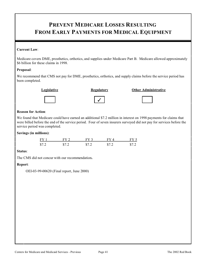# **PREVENT MEDICARE LOSSES RESULTING FROM EARLY PAYMENTS FOR MEDICAL EQUIPMENT**

# **Current Law**:

Medicare covers DME, prosthetics, orthotics, and supplies under Medicare Part B. Medicare allowed approximately \$6 billion for these claims in 1998.

# **Proposal**:

We recommend that CMS not pay for DME, prosthetics, orthotics, and supply claims before the service period has been completed.



**Legislative Channel Regulatory Channel Administrative Channel Administrative** 





# **Reason for Action**:

We found that Medicare could have earned an additional \$7.2 million in interest on 1998 payments for claims that were billed before the end of the service period. Four of seven insurers surveyed did not pay for services before the service period was completed.

# **Savings (in millions)**:

| $FY$ 1 | FY 2  | FY 3 | FY4  | FY 5  |
|--------|-------|------|------|-------|
| \$7.2  | \$7.2 | \$72 | \$72 | \$7.2 |

# **Status**:

The CMS did not concur with our recommendation**.** 

# **Report**:

OEI-03-99-00620 (Final report, June 2000)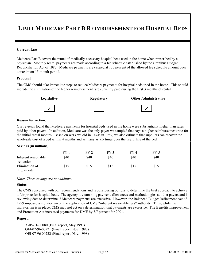# **LIMIT MEDICARE PART B REIMBURSEMENT FOR HOSPITAL BEDS**

#### **Current Law**:

Medicare Part B covers the rental of medically necessary hospital beds used in the home when prescribed by a physician. Monthly rental payments are made according to a fee schedule established by the Omnibus Budget Reconciliation Act of 1987. Medicare payments are capped at 120 percent of the allowed fee schedule amount over a maximum 15-month period.

#### **Proposal**:

The CMS should take immediate steps to reduce Medicare payments for hospital beds used in the home. This should include the elimination of the higher reimbursement rate currently paid during the first 3 months of rental.



|  | Regulatory |  |
|--|------------|--|
|  |            |  |

# **Legislative Community Regulatory** Cher Administrative

|--|



### **Reason for Action**:

Our reviews found that Medicare payments for hospital beds used in the home were substantially higher than rates paid by other payers. In addition, Medicare was the only payer we sampled that pays a higher reimbursement rate for the initial rental months. Based on work we did in Texas in 1989, we also estimate that suppliers can recover the wholesale cost of a bed within 4 months and as many as 7.5 times over the useful life of the bed.

#### **Savings (in millions)**:

|                     | FY   |      | FV 3 | FY 4 | FY 5 |
|---------------------|------|------|------|------|------|
| Inherent reasonable | \$40 | \$40 | \$40 | \$40 | \$40 |
| reduction           |      |      |      |      |      |
| Elimination of      | \$15 | \$15 | \$15 | \$15 | \$15 |
| higher rate         |      |      |      |      |      |

*Note: These savings are not additive.* 

#### **Status**:

The CMS concurred with our recommendations and is considering options to determine the best approach to achieve a fair price for hospital beds. The agency is examining payment allowances and methodologies at other payers and is reviewing data to determine if Medicare payments are excessive. However, the Balanced Budget Refinement Act of 1999 imposed a moratorium on the application of CMS "inherent reasonableness" authority. Thus, while the moratorium is in place, CMS may not act on a determination that payments are excessive. The Benefits Improvement and Protection Act increased payments for DME by 3.7 percent for 2001.

#### **Report**:

A-06-91-00080 (Final report, May 1993) OEI-07-96-00221 (Final report, Nov. 1998) OEI-07-96-00222 (Final report, Nov. 1998)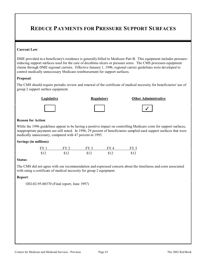# **REDUCE PAYMENTS FOR PRESSURE SUPPORT SURFACES**

### **Current Law**:

DME provided in a beneficiary's residence is generally billed to Medicare Part B. This equipment includes pressurereducing support surfaces used for the care of decubitus ulcers or pressure sores. The CMS processes equipment claims through DME regional carriers. Effective January 1, 1996, regional carrier guidelines were developed to control medically unnecessary Medicare reimbursement for support surfaces.

### **Proposal**:

The CMS should require periodic review and renewal of the certificate of medical necessity for beneficiaries' use of group 2 support surface equipment.



### **Reason for Action**:

While the 1996 guidelines appear to be having a positive impact on controlling Medicare costs for support surfaces, inappropriate payments are still noted. In 1996, 29 percent of beneficiaries sampled used support surfaces that were medically unnecessary, compared with 47 percent in 1995.

### **Savings (in millions)**:

| $FY$ 1 | $FY$ 2 | $FY$ 3 | $FY \Delta$ | FY 5 |
|--------|--------|--------|-------------|------|
| \$12   | \$12   | \$12   | \$12        | \$12 |

#### **Status**:

The CMS did not agree with our recommendation and expressed concern about the timeliness and costs associated with using a certificate of medical necessity for group 2 equipment.

#### **Report**:

OEI-02-95-00370 (Final report, June 1997)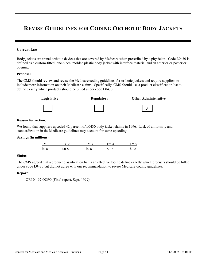# **REVISE GUIDELINES FOR CODING ORTHOTIC BODY JACKETS**

#### **Current Law**:

Body jackets are spinal orthotic devices that are covered by Medicare when prescribed by a physician. Code L0430 is defined as a custom-fitted, one-piece, molded plastic body jacket with interface material and an anterior or posterior opening.

#### **Proposal**:

The CMS should review and revise the Medicare coding guidelines for orthotic jackets and require suppliers to include more information on their Medicare claims. Specifically, CMS should use a product classification list to define exactly which products should be billed under code L0430.



# **Legislative Construction Regulatory** Cher Administrative

�

# **Reason for Action**:

We found that suppliers upcoded 42 percent of L0430 body jacket claims in 1996. Lack of uniformity and standardization in the Medicare guidelines may account for some upcoding.

#### **Savings (in millions)**:

| FY <sub>1</sub> | FY 2  | FY 3  | $FV\Lambda$ | FY 5  |
|-----------------|-------|-------|-------------|-------|
| \$0.8           | \$0.8 | \$0.8 | \$0.8       | \$0.8 |

#### **Status**:

The CMS agreed that a product classification list is an effective tool to define exactly which products should be billed under code L0430 but did not agree with our recommendation to revise Medicare coding guidelines.

#### **Report**:

OEI-04-97-00390 (Final report, Sept. 1999)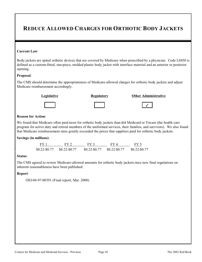# **REDUCE ALLOWED CHARGES FOR ORTHOTIC BODY JACKETS**

#### **Current Law**:

Body jackets are spinal orthotic devices that are covered by Medicare when prescribed by a physician. Code L0430 is defined as a custom-fitted, one-piece, molded plastic body jacket with interface material and an anterior or posterior opening.

#### **Proposal**:

The CMS should determine the appropriateness of Medicare-allowed charges for orthotic body jackets and adjust Medicare reimbursement accordingly.



### **Reason for Action**:

We found that Medicare often paid more for orthotic body jackets than did Medicaid or Tricare (the health care program for active duty and retired members of the uniformed services, their families, and survivors). We also found that Medicare reimbursement rates greatly exceeded the prices that suppliers paid for orthotic body jackets.

#### **Savings (in millions)**:

| FY 1          | FY 2            | FY 3            | FY4             | FY 5            |
|---------------|-----------------|-----------------|-----------------|-----------------|
| \$0.22-\$0.77 | $$0.22 - $0.77$ | $$0.22 - $0.77$ | $$0.22 - $0.77$ | $$0.22 - $0.77$ |

#### **Status**:

The CMS agreed to review Medicare-allowed amounts for orthotic body jackets once new final regulations on inherent reasonableness have been published.

# **Report**:

OEI-04-97-00391 (Final report, Mar. 2000)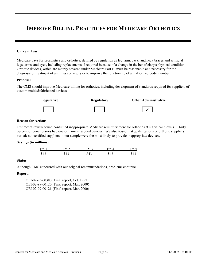# **IMPROVE BILLING PRACTICES FOR MEDICARE ORTHOTICS**

#### **Current Law**:

Medicare pays for prosthetics and orthotics, defined by regulation as leg, arm, back, and neck braces and artificial legs, arms, and eyes, including replacements if required because of a change in the beneficiary's physical condition. Orthotic devices, which are mainly covered under Medicare Part B, must be reasonable and necessary for the diagnosis or treatment of an illness or injury or to improve the functioning of a malformed body member.

### **Proposal**:

The CMS should improve Medicare billing for orthotics, including development of standards required for suppliers of custom molded/fabricated devices.



#### **Reason for Action**:

Our recent review found continued inappropriate Medicare reimbursement for orthotics at significant levels. Thirty percent of beneficiaries had one or more miscoded devices. We also found that qualifications of orthotic suppliers varied; noncertified suppliers in our sample were the most likely to provide inappropriate devices.

#### **Savings (in millions)**:

| FY1  | FV 2 | FV 3 |      | FY 5 |
|------|------|------|------|------|
| \$43 | \$43 | \$43 | \$43 | \$43 |

#### **Status**:

Although CMS concurred with our original recommendations, problems continue.

#### **Report**:

OEI-02-95-00380 (Final report, Oct. 1997) OEI-02-99-00120 (Final report, Mar. 2000) OEI-02-99-00121 (Final report, Mar. 2000)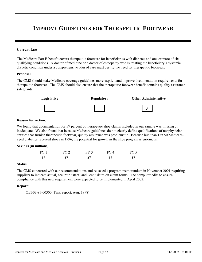# **IMPROVE GUIDELINES FOR THERAPEUTIC FOOTWEAR**

#### **Current Law**:

The Medicare Part B benefit covers therapeutic footwear for beneficiaries with diabetes and one or more of six qualifying conditions. A doctor of medicine or a doctor of osteopathy who is treating the beneficiary's systemic diabetic condition under a comprehensive plan of care must certify the need for therapeutic footwear.

#### **Proposal**:

The CMS should make Medicare coverage guidelines more explicit and improve documentation requirements for therapeutic footwear. The CMS should also ensure that the therapeutic footwear benefit contains quality assurance safeguards.



### **Reason for Action**:

We found that documentation for 57 percent of therapeutic shoe claims included in our sample was missing or inadequate. We also found that because Medicare guidelines do not clearly define qualifications of nonphysician entities that furnish therapeutic footwear, quality assurance was problematic. Because less than 1 in 50 Medicareaged diabetics received shoes in 1996, the potential for growth in the shoe program is enormous.

#### **Savings (in millions)**:



#### **Status**:

The CMS concurred with our recommendations and released a program memorandum in November 2001 requiring suppliers to indicate actual, accurate "start" and "end" dates on claim forms. The computer edits to ensure compliance with this new requirement were expected to be implemented in April 2002.

#### **Report**:

OEI-03-97-00300 (Final report, Aug. 1998)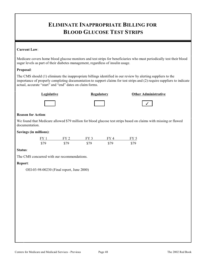# **ELIMINATE INAPPROPRIATE BILLING FOR BLOOD GLUCOSE TEST STRIPS**

# **Current Law**:

Medicare covers home blood glucose monitors and test strips for beneficiaries who must periodically test their blood sugar levels as part of their diabetes management, regardless of insulin usage.

# **Proposal**:

The CMS should (1) eliminate the inappropriate billings identified in our review by alerting suppliers to the importance of properly completing documentation to support claims for test strips and (2) require suppliers to indicate actual, accurate "start" and "end" dates on claim forms.



### **Legislative Community Regulatory Community Other Administrative**





# �

# **Reason for Action**:

We found that Medicare allowed \$79 million for blood glucose test strips based on claims with missing or flawed documentation.

### **Savings (in millions)**:

| $FY$ 1 | $FV$ 2 | EV <sub>3</sub> | $\rm{FV}$ $\rm{4}$ | FV 4 |
|--------|--------|-----------------|--------------------|------|
| \$79   | ¢70    | \$79            | \$79               |      |

#### **Status**:

The CMS concurred with our recommendations.

# **Report**:

OEI-03-98-00230 (Final report, June 2000)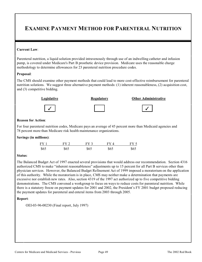# **EXAMINE PAYMENT METHOD FOR PARENTERAL NUTRITION**

#### **Current Law**:

Parenteral nutrition, a liquid solution provided intravenously through use of an indwelling catheter and infusion pump, is covered under Medicare's Part B prosthetic device provision. Medicare uses the reasonable charge methodology to determine allowances for 23 parenteral nutrition procedure codes.

#### **Proposal**:

The CMS should examine other payment methods that could lead to more cost-effective reimbursement for parenteral nutrition solutions. We suggest three alternative payment methods: (1) inherent reasonableness, (2) acquisition cost, and (3) competitive bidding.



#### **Reason for Action**:

For four parenteral nutrition codes, Medicare pays an average of 45 percent more than Medicaid agencies and 78 percent more than Medicare risk health maintenance organizations.

#### **Savings (in millions)**:

| $FY$ 1 | FY 2 | $FV$ 3 | $\Gamma V \Delta$ | $FY$ : |
|--------|------|--------|-------------------|--------|
| \$65   | \$65 | \$65   | \$65              | \$65   |

#### **Status**:

The Balanced Budget Act of 1997 enacted several provisions that would address our recommendation. Section 4316 authorized CMS to make "inherent reasonableness" adjustments up to 15 percent for all Part B services other than physician services. However, the Balanced Budget Refinement Act of 1999 imposed a moratorium on the application of this authority. While the moratorium is in place, CMS may neither make a determination that payments are excessive nor establish new rates. Also, section 4319 of the 1997 act authorized up to five competitive bidding demonstrations. The CMS convened a workgroup to focus on ways to reduce costs for parenteral nutrition. While there is a statutory freeze on payment updates for 2001 and 2002, the President's FY 2001 budget proposed reducing the payment updates for parenteral and enteral items from 2003 through 2005.

#### **Report**:

OEI-03-96-00230 (Final report, July 1997)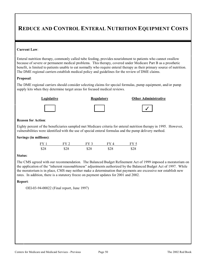# **REDUCE AND CONTROL ENTERAL NUTRITION EQUIPMENT COSTS**

#### **Current Law**:

Enteral nutrition therapy, commonly called tube feeding, provides nourishment to patients who cannot swallow because of severe or permanent medical problems. This therapy, covered under Medicare Part B as a prosthetic benefit, is limited to patients unable to eat normally who require enteral therapy as their primary source of nutrition. The DME regional carriers establish medical policy and guidelines for the review of DME claims.

### **Proposal**:

The DME regional carriers should consider selecting claims for special formulas, pump equipment, and/or pump supply kits when they determine target areas for focused medical reviews.



| L | ш | , | . . |  |  |
|---|---|---|-----|--|--|
|   |   |   |     |  |  |
|   |   |   |     |  |  |
|   |   |   |     |  |  |
|   |   |   |     |  |  |

# **Legislative Communistrative Regulatory Communistrative Communistrative Communistrative**

�

# **Reason for Action**:

Eighty percent of the beneficiaries sampled met Medicare criteria for enteral nutrition therapy in 1995. However, vulnerabilities were identified with the use of special enteral formulas and the pump delivery method.

# **Savings (in millions)**:

| FV <sub>1</sub> | $FV$ 2 | FY 3 | $\rm{FV}$ $\rm{ \Lambda}$ | FY : |
|-----------------|--------|------|---------------------------|------|
| \$28            | \$28   | \$28 | \$28                      | \$28 |

#### **Status**:

The CMS agreed with our recommendation. The Balanced Budget Refinement Act of 1999 imposed a moratorium on the application of the "inherent reasonableness" adjustments authorized by the Balanced Budget Act of 1997. While the moratorium is in place, CMS may neither make a determination that payments are excessive nor establish new rates. In addition, there is a statutory freeze on payment updates for 2001 and 2002.

#### **Report**:

OEI-03-94-00022 (Final report, June 1997)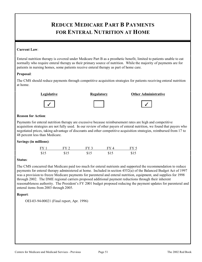# **REDUCE MEDICARE PART B PAYMENTS FOR ENTERAL NUTRITION AT HOME**

# **Current Law**:

Enteral nutrition therapy is covered under Medicare Part B as a prosthetic benefit, limited to patients unable to eat normally who require enteral therapy as their primary source of nutrition. While the majority of payments are for patients in nursing homes, some patients receive enteral therapy as part of home care.

# **Proposal**:

The CMS should reduce payments through competitive acquisition strategies for patients receiving enteral nutrition at home.





**Legislative Community Regulatory Community Community Community Community Community Community Community Community Regulatory Community Community Regulatory Community Community Community Regulatory Community Community Regul** 



| ີ |  |  |
|---|--|--|



# **Reason for Action**:

Payments for enteral nutrition therapy are excessive because reimbursement rates are high and competitive acquisition strategies are not fully used. In our review of other payers of enteral nutrition, we found that payers who negotiated prices, taking advantage of discounts and other competitive acquisition strategies, reimbursed from 17 to 48 percent less than Medicare.

# **Savings (in millions)**:

| FY 1 | $FY$ 2 | $FY$ 3 | FY4  | FY 5 |
|------|--------|--------|------|------|
| \$15 | \$15   | \$15   | \$15 | \$15 |

# **Status**:

The CMS concurred that Medicare paid too much for enteral nutrients and supported the recommendation to reduce payments for enteral therapy administered at home. Included in section 4552(a) of the Balanced Budget Act of 1997 was a provision to freeze Medicare payments for parenteral and enteral nutrition, equipment, and supplies for 1998 through 2002. The DME regional carriers proposed additional payment reductions through their inherent reasonableness authority. The President's FY 2001 budget proposed reducing the payment updates for parenteral and enteral items from 2003 through 2005.

# **Report**:

OEI-03-94-00021 (Final report, Apr. 1996)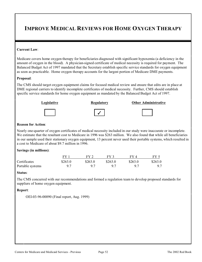# **IMPROVE MEDICAL REVIEWS FOR HOME OXYGEN THERAPY**

#### **Current Law**:

Medicare covers home oxygen therapy for beneficiaries diagnosed with significant hypoxemia (a deficiency in the amount of oxygen in the blood). A physician-signed certificate of medical necessity is required for payment. The Balanced Budget Act of 1997 mandated that the Secretary establish specific service standards for oxygen equipment as soon as practicable. Home oxygen therapy accounts for the largest portion of Medicare DME payments.

#### **Proposal**:

The CMS should target oxygen equipment claims for focused medical review and ensure that edits are in place at DME regional carriers to identify incomplete certificates of medical necessity. Further, CMS should establish specific service standards for home oxygen equipment as mandated by the Balanced Budget Act of 1997.



#### **Reason for Action**:

Nearly one-quarter of oxygen certificates of medical necessity included in our study were inaccurate or incomplete. We estimate that the resultant cost to Medicare in 1996 was \$263 million. We also found that while all beneficiaries in our sample used their stationary oxygen equipment, 13 percent never used their portable systems, which resulted in a cost to Medicare of about \$9.7 million in 1996.

#### **Savings (in millions)**:

|                  | FV      |         | EV <sub>2</sub> | FV 4    | $FV$ 5  |
|------------------|---------|---------|-----------------|---------|---------|
| Certificates     | \$263.0 | \$263.0 | \$263.0         | \$263.0 | \$263.0 |
| Portable systems |         |         |                 |         |         |

#### **Status**:

The CMS concurred with our recommendations and formed a regulation team to develop proposed standards for suppliers of home oxygen equipment.

#### **Report**:

OEI-03-96-00090 (Final report, Aug. 1999)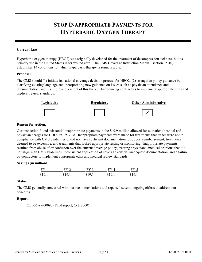# **STOP INAPPROPRIATE PAYMENTS FOR HYPERBARIC OXYGEN THERAPY**

# **Current Law**:

Hyperbaric oxygen therapy (HBO2) was originally developed for the treatment of decompression sickness, but its primary use in the United States is for wound care. The CMS Coverage Instruction Manual, section 35-10, establishes 14 conditions for which hyperbaric therapy is reimbursable.

#### **Proposal**:

The CMS should (1) initiate its national coverage decision process for HBO2, (2) strengthen policy guidance by clarifying existing language and incorporating new guidance on issues such as physician attendance and documentation, and (3) improve oversight of this therapy by requiring contractors to implement appropriate edits and medical review standards.



### **Reason for Action**:

Our inspection found substantial inappropriate payments in the \$49.9 million allowed for outpatient hospital and physician charges for HBO2 in 1997-98. Inappropriate payments were made for treatments that either were not in compliance with CMS guidelines or did not have sufficient documentation to support reimbursement, treatments deemed to be excessive, and treatments that lacked appropriate testing or monitoring. Inappropriate payments resulted from abuse of or confusion over the current coverage policy, treating physicians' medical opinions that did not align with CMS guidelines, inconsistent application of coverage criteria, inadequate documentation, and a failure by contractors to implement appropriate edits and medical review standards.

# **Savings (in millions)**:

| FY1    | $FV$ 2 | FY 3  | $FV\Lambda$ | FY 5   |
|--------|--------|-------|-------------|--------|
| \$19.1 | \$19.1 | \$101 | \$191       | \$19.1 |

#### **Status**:

The CMS generally concurred with our recommendations and reported several ongoing efforts to address our concerns.

# **Report**:

OEI-06-99-00090 (Final report, Oct. 2000)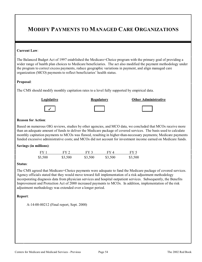# **MODIFY PAYMENTS TO MANAGED CARE ORGANIZATIONS**

#### **Current Law**:

The Balanced Budget Act of 1997 established the Medicare+Choice program with the primary goal of providing a wider range of health plan choices to Medicare beneficiaries. The act also modified the payment methodology under the program to correct excess payments, reduce geographic variations in payment, and align managed care organization (MCO) payments to reflect beneficiaries' health status.

#### **Proposal**:

The CMS should modify monthly capitation rates to a level fully supported by empirical data.





|--|

### **Reason for Action**:

Based on numerous OIG reviews, studies by other agencies, and MCO data, we concluded that MCOs receive more than an adequate amount of funds to deliver the Medicare package of covered services. The basis used to calculate monthly capitation payments to MCOs was flawed, resulting in higher-than-necessary payments; Medicare payments funded excessive administrative costs; and MCOs did not account for investment income earned on Medicare funds.

#### **Savings (in millions)**:

| FY1     | FY2     | FY 3    | FY 4    | FY 5    |
|---------|---------|---------|---------|---------|
| \$3,500 | \$3,500 | \$3,500 | \$3,500 | \$3,500 |

#### **Status**:

The CMS agreed that Medicare+Choice payments were adequate to fund the Medicare package of covered services. Agency officials stated that they would move toward full implementation of a risk adjustment methodology incorporating diagnosis data from physician services and hospital outpatient services. Subsequently, the Benefits Improvement and Protection Act of 2000 increased payments to MCOs. In addition, implementation of the risk adjustment methodology was extended over a longer period.

#### **Report**:

A-14-00-00212 (Final report, Sept. 2000)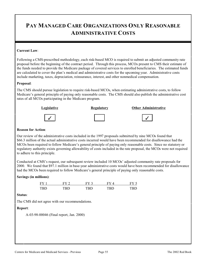# **PAY MANAGED CARE ORGANIZATIONS ONLY REASONABLE ADMINISTRATIVE COSTS**

### **Current Law**:

Following a CMS-prescribed methodology, each risk-based MCO is required to submit an adjusted community rate proposal before the beginning of the contract period. Through this process, MCOs present to CMS their estimate of the funds needed to provide the Medicare package of covered services to enrolled beneficiaries. The estimated funds are calculated to cover the plan's medical and administrative costs for the upcoming year. Administrative costs include marketing, taxes, depreciation, reinsurance, interest, and other nonmedical compensation.

#### **Proposal**:

The CMS should pursue legislation to require risk-based MCOs, when estimating administrative costs, to follow Medicare's general principle of paying only reasonable costs. The CMS should also publish the administrative cost rates of all MCOs participating in the Medicare program.



#### **Reason for Action**:

Our review of the administrative costs included in the 1997 proposals submitted by nine MCOs found that \$66.3 million of the actual administrative costs incurred would have been recommended for disallowance had the MCOs been required to follow Medicare's general principle of paying only reasonable costs. Since no statutory or regulatory authority exists governing allowability of costs included in the rate proposal, the MCOs were not required to adhere to this principle.

Conducted at CMS's request, our subsequent review included 10 MCOs' adjusted community rate proposals for 2000. We found that \$97.1 million in base-year administrative costs would have been recommended for disallowance had the MCOs been required to follow Medicare's general principle of paying only reasonable costs.

#### **Savings (in millions)**:

| FY         | $FV$ $\hat{ }$ | $E$ V $\tilde{ }$ |     |               |
|------------|----------------|-------------------|-----|---------------|
| <b>TRD</b> | rd D           | TRN               | TRT | $T\mathbf{R}$ |

#### **Status**:

The CMS did not agree with our recommendations.

#### **Report**:

A-03-98-00046 (Final report, Jan. 2000)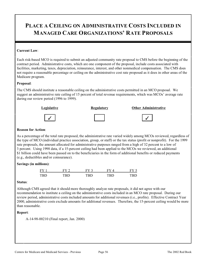# **PLACE A CEILING ON ADMINISTRATIVE COSTS INCLUDED IN MANAGED CARE ORGANIZATIONS' RATE PROPOSALS**

#### **Current Law**:

Each risk-based MCO is required to submit an adjusted community rate proposal to CMS before the beginning of the contract period. Administrative costs, which are one component of the proposal, include costs associated with facilities, marketing, taxes, depreciation, reinsurance, interest, and other nonmedical compensation. The CMS does not require a reasonable percentage or ceiling on the administrative cost rate proposed as it does in other areas of the Medicare program.

### **Proposal**:

The CMS should institute a reasonable ceiling on the administrative costs permitted in an MCO proposal. We suggest an administrative rate ceiling of 15 percent of total revenue requirements, which was MCOs' average rate during our review period (1996 to 1999).



#### **Reason for Action**:

As a percentage of the total rate proposed, the administrative rate varied widely among MCOs reviewed, regardless of the type of MCO (individual practice association, group, or staff) or the tax status (profit or nonprofit). For the 1999 rate proposals, the amount allocated for administrative purposes ranged from a high of 32 percent to a low of 3 percent. Using 1998 data, if a 15-percent ceiling had been applied to the MCOs we reviewed, an additional \$1 billion could have been passed on to the beneficiaries in the form of additional benefits or reduced payments (e.g., deductibles and/or coinsurance).

# **Savings (in millions)**:

| FY         | EV   | н          |     |     |
|------------|------|------------|-----|-----|
| <b>TRD</b> | חטוי | <b>TRD</b> | TDN | וטו |

#### **Status**:

Although CMS agreed that it should more thoroughly analyze rate proposals, it did not agree with our recommendation to institute a ceiling on the administrative costs included in an MCO rate proposal. During our review period, administrative costs included amounts for additional revenues (i.e., profits). Effective Contract Year 2000, administrative costs exclude amounts for additional revenues. Therefore, the 15-percent ceiling would be more than reasonable.

#### **Report**:

A-14-98-00210 (Final report, Jan. 2000)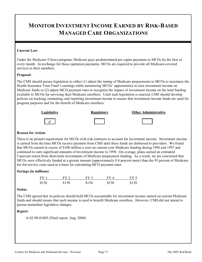# **MONITOR INVESTMENT INCOME EARNED BY RISK-BASED MANAGED CARE ORGANIZATIONS**

### **Current Law**:

Under the Medicare+Choice program, Medicare pays predetermined per capita payments to MCOs by the first of every month. In exchange for these capitation payments, MCOs are required to provide all Medicare-covered services to their members.

### **Proposal**:

The CMS should pursue legislation to either (1) adjust the timing of Medicare prepayments to MCOs to maximize the Health Insurance Trust Fund's earnings while minimizing MCOs' opportunities to earn investment income on Medicare funds or (2) adjust MCO payment rates to recognize the impact of investment income on the total funding available to MCOs for servicing their Medicare enrollees. Until such legislation is enacted, CMS should develop policies on tracking, estimating, and reporting investment income to ensure that investment income funds are used for program purposes and for the benefit of Medicare enrollees.



#### **Reason for Action**:

There is no present requirement for MCOs with risk contracts to account for investment income. Investment income is earned from the time MCOs receive payment from CMS until these funds are disbursed to providers. We found that MCOs earned in excess of \$100 million a year on current-year Medicare funding during 1996 and 1997 and continued to earn significant amounts of investment income in 1998. On average, plans earned an estimated 5-percent return from short-term investments of Medicare prepayment funding. As a result, we are concerned that MCOs were effectively funded at a greater amount (approximately 0.4 percent more) than the 95 percent of Medicare fee-for-service costs used as a basis for calculating MCO payment rates.

#### **Savings (in millions)**:

| FY 1  | FY 2. | $FY$ 3 | FY 4  | FY <sub>5</sub> |
|-------|-------|--------|-------|-----------------|
| \$150 | \$150 | \$150  | \$150 | \$150           |

#### **Status**:

The CMS agreed that its policies should hold MCOs accountable for investment income earned on current Medicare funds and should ensure that such income is used to benefit Medicare enrollees. However, CMS did not intend to pursue immediate legislative changes.

# **Report**:

A-02-98-01005 (Final report, Aug. 2000)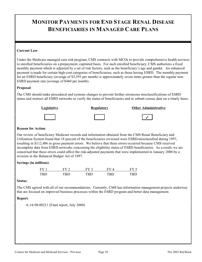# **MONITOR PAYMENTS FOR END STAGE RENAL DISEASE BENEFICIARIES IN MANAGED CARE PLANS**

### **Current Law**:

Under the Medicare managed care risk program, CMS contracts with MCOs to provide comprehensive health services to enrolled beneficiaries on a prepayment, capitated basis. For each enrolled beneficiary, CMS authorizes a fixed monthly payment which is adjusted by a set of risk factors, such as the beneficiary's age and gender. An enhanced payment is made for certain high-cost categories of beneficiaries, such as those having ESRD. The monthly payment for an ESRD beneficiary (average of \$3,393 per month) is approximately seven times greater than the regular non-ESRD payment rate (average of \$460 per month).

### **Proposal**:

The CMS should make procedural and systems changes to prevent further erroneous misclassifications of ESRD status and instruct all ESRD networks to verify the status of beneficiaries and to submit census data on a timely basis.



#### **Reason for Action**:

Our review of beneficiary Medicare records and information obtained from the CMS Renal Beneficiary and Utilization System found that 18 percent of the beneficiaries reviewed were ESRD-misclassified during 1997, resulting in \$112,486 in gross payment errors. We believe that these errors occurred because CMS received incomplete data from ESRD networks concerning the eligibility status of ESRD beneficiaries. As a result, we are concerned that these errors could affect the risk-adjusted payments that were implemented in January 2000 by a revision in the Balanced Budget Act of 1997.

# **Savings (in millions)**:

| FY  | $_{\rm FV}$ $\sim$ | $\mathbf{F} \mathbf{V}$ $\hat{\mathbf{C}}$ |     |      |
|-----|--------------------|--------------------------------------------|-----|------|
| TRD | רו טיי             | l`RT                                       | חפר | ונדי |

#### **Status**:

The CMS agreed with all of our recommendations. Currently, CMS has information management projects underway that are focused on improved business processes within the ESRD program and better data management.

# **Report**:

A-14-98-00211 (Final report, July 2000)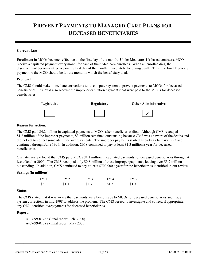# **PREVENT PAYMENTS TO MANAGED CARE PLANS FOR DECEASED BENEFICIARIES**

### **Current Law**:

Enrollment in MCOs becomes effective on the first day of the month. Under Medicare risk-based contracts, MCOs receive a capitated payment every month for each of their Medicare enrollees. When an enrollee dies, the disenrollment becomes effective on the first day of the month immediately following death. Thus, the final Medicare payment to the MCO should be for the month in which the beneficiary died.

#### **Proposal**:

The CMS should make immediate corrections to its computer system to prevent payments to MCOs for deceased beneficiaries. It should also recover the improper capitation payments that were paid to the MCOs for deceased beneficiaries.



### **Reason for Action**:

The CMS paid \$4.2 million in capitated payments to MCOs after beneficiaries died. Although CMS recouped \$1.2 million of the improper payments, \$3 million remained outstanding because CMS was unaware of the deaths and did not act to collect some identified overpayments. The improper payments started as early as January 1993 and continued through June 1999. In addition, CMS continued to pay at least \$1.3 million a year for deceased beneficiaries.

Our later review found that CMS paid MCOs \$4.1 million in capitated payments for deceased beneficiaries through at least October 2000. The CMS recouped only \$0.8 million of these improper payments, leaving over \$3.2 million outstanding. In addition, CMS continued to pay at least \$700,000 a year for the beneficiaries identified in our review.

# **Savings (in millions)**:

| FY1 | FY 2  | $FY$ 3 | FV 4  | FY 5  |
|-----|-------|--------|-------|-------|
| \$3 | \$1.3 | \$1.3  | \$1.3 | \$1.3 |

#### **Status**:

The CMS stated that it was aware that payments were being made to MCOs for deceased beneficiaries and made system corrections in mid-1998 to address the problem. The CMS agreed to investigate and collect, if appropriate, any OIG-identified overpayments for deceased beneficiaries.

#### **Report**:

A-07-99-01283 (Final report, Feb. 2000) A-07-99-01298 (Final report, May 2001)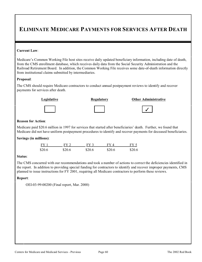# **ELIMINATE MEDICARE PAYMENTS FOR SERVICES AFTER DEATH**

#### **Current Law**:

Medicare's Common Working File host sites receive daily updated beneficiary information, including date of death, from the CMS enrollment database, which receives daily data from the Social Security Administration and the Railroad Retirement Board. In addition, the Common Working File receives some date-of-death information directly from institutional claims submitted by intermediaries.

#### **Proposal**:

The CMS should require Medicare contractors to conduct annual postpayment reviews to identify and recover payments for services after death.



# **Legislative Channel Regulatory Channel Channel Administrative**

#### **Reason for Action**:

Medicare paid \$20.6 million in 1997 for services that started after beneficiaries' death. Further, we found that Medicare did not have uniform postpayment procedures to identify and recover payments for deceased beneficiaries.

#### **Savings (in millions)**:

| FY 1   | FY 2-  | FY 3   | FV 4   | FY 5   |
|--------|--------|--------|--------|--------|
| \$20.6 | \$20.6 | \$20.6 | \$20.6 | \$20.6 |

#### **Status**:

The CMS concurred with our recommendations and took a number of actions to correct the deficiencies identified in the report. In addition to providing special funding for contractors to identify and recover improper payments, CMS planned to issue instructions for FY 2001, requiring all Medicare contractors to perform these reviews.

#### **Report**:

OEI-03-99-00200 (Final report, Mar. 2000)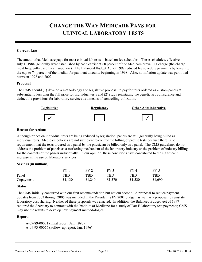# **CHANGE THE WAY MEDICARE PAYS FOR CLINICAL LABORATORY TESTS**

#### **Current Law**:

The amount that Medicare pays for most clinical lab tests is based on fee schedules. These schedules, effective July 1, 1984, generally were established by each carrier at 60 percent of the Medicare prevailing charge (the charge most frequently used by all suppliers). The Balanced Budget Act of 1997 reduced fee schedule payments by lowering the cap to 74 percent of the median for payment amounts beginning in 1998. Also, no inflation update was permitted between 1998 and 2002.

#### **Proposal**:

The CMS should (1) develop a methodology and legislative proposal to pay for tests ordered as custom panels at substantially less than the full price for individual tests and (2) study reinstating the beneficiary coinsurance and deductible provisions for laboratory services as a means of controlling utilization.



#### **Reason for Action**:

Although prices on individual tests are being reduced by legislation, panels are still generally being billed as individual tests. Medicare policies are not sufficient to control the billing of profile tests because there is no requirement that the tests ordered as a panel by the physician be billed only as a panel. The CMS guidelines do not address the problem of panels as a marketing mechanism of the laboratory industry or the problem of industry billing for the contents of the panels individually. In our opinion, these conditions have contributed to the significant increase in the use of laboratory services.

#### **Savings (in millions)**:

|           | $FY_{\rightarrow}$ | $FV$ 2  | FY 3         | <u>FY 4</u> | <u>FY 5</u> |
|-----------|--------------------|---------|--------------|-------------|-------------|
| Panel     | TBD.               | TBD     | $_{\rm TBD}$ | TBD         | TBD         |
| Copayment | \$1,130            | \$1,240 | \$1,370      | \$1,520     | \$1,690     |

#### **Status**:

The CMS initially concurred with our first recommendation but not our second. A proposal to reduce payment updates from 2003 through 2005 was included in the President's FY 2001 budget, as well as a proposal to reinstate laboratory cost sharing. Neither of these proposals was enacted. In addition, the Balanced Budget Act of 1997 required the Secretary to contract with the Institute of Medicine for a study of Part B laboratory test payments; CMS may use the results to develop new payment methodologies.

#### **Report**:

A-09-89-00031 (Final report, Jan. 1990) A-09-93-00056 (Follow-up report, Jan. 1996)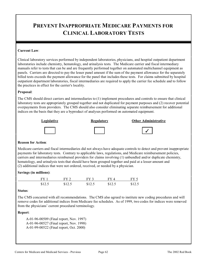# **PREVENT INAPPROPRIATE MEDICARE PAYMENTS FOR CLINICAL LABORATORY TESTS**

### **Current Law**:

Clinical laboratory services performed by independent laboratories, physicians, and hospital outpatient department laboratories include chemistry, hematology, and urinalysis tests. The Medicare carrier and fiscal intermediary manuals refer to tests that can be and are frequently performed together on automated multichannel equipment as panels. Carriers are directed to pay the lesser panel amount if the sum of the payment allowance for the separately billed tests exceeds the payment allowance for the panel that includes these tests. For claims submitted by hospital outpatient department laboratories, fiscal intermediaries are required to apply the carrier fee schedule and to follow the practices in effect for the carrier's locality.

### **Proposal**:

The CMS should direct carriers and intermediaries to (1) implement procedures and controls to ensure that clinical laboratory tests are appropriately grouped together and not duplicated for payment purposes and (2) recover potential overpayments from providers. The CMS should also consider eliminating separate reimbursement for additional indices on the basis that they are a byproduct of analyses performed on automated equipment.







�

#### **Reason for Action**:

Medicare carriers and fiscal intermediaries did not always have adequate controls to detect and prevent inappropriate payments for laboratory tests. Contrary to applicable laws, regulations, and Medicare reimbursement policies, carriers and intermediaries reimbursed providers for claims involving (1) unbundled and/or duplicate chemistry, hematology, and urinalysis tests that should have been grouped together and paid at a lesser amount and (2) additional indices that were not ordered, received, or needed by a physician.

#### **Savings (in millions)**:

|        | $FV$ ? | $FY$ 3 | FV 4   | FV f   |
|--------|--------|--------|--------|--------|
| \$12.5 | \$12.5 | \$12.5 | \$12.5 | \$12.5 |

#### **Status**:

The CMS concurred with all recommendations. The CMS also agreed to institute new coding procedures and will remove codes for additional indices from Medicare fee schedules. As of 1999, two codes for indices were removed from the physicians' current procedural terminology.

#### **Report**:

A-01-96-00509 (Final report, Nov. 1997) A-01-96-00527 (Final report, Nov. 1998) A-01-99-00522 (Final report, Oct. 2000)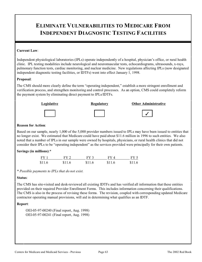## **ELIMINATE VULNERABILITIES TO MEDICARE FROM INDEPENDENT DIAGNOSTIC TESTING FACILITIES**

#### **Current Law**:

Independent physiological laboratories (IPLs) operate independently of a hospital, physician's office, or rural health clinic. IPL testing modalities include neurological and neuromuscular tests, echocardiograms, ultrasounds, x-rays, pulmonary function tests, cardiac monitoring, and nuclear medicine. New regulations affecting IPLs (now designated independent diagnostic testing facilities, or IDTFs) went into effect January 1, 1998.

#### **Proposal**:

The CMS should more clearly define the term "operating independent," establish a more stringent enrollment and verification process, and strengthen monitoring and control processes. As an option, CMS could completely reform the payment system by eliminating direct payment to IPLs/IDTFs.



#### **Reason for Action**:

Based on our sample, nearly 1,000 of the 5,000 provider numbers issued to IPLs may have been issued to entities that no longer exist. We estimated that Medicare could have paid about \$11.6 million in 1996 to such entities. We also noted that a number of IPLs in our sample were owned by hospitals, physicians, or rural health clinics that did not consider their IPLs to be "operating independent" as the services provided were principally for their own patients.

### **Savings (in millions)**:\*

| $FY$ 1 | FY 2   | $FY$ 3 | FY4    | FY 5   |
|--------|--------|--------|--------|--------|
| \$11.6 | \$11.6 | \$11.6 | \$11.6 | \$11.6 |

*\* Possible payments to IPLs that do not exist.* 

#### **Status**:

The CMS has site-visited and desk-reviewed all existing IDTFs and has verified all information that these entities provided on their required Provider Enrollment Forms. This includes information concerning their qualifications. The CMS is also in the process of revising these forms. The revision, coupled with corresponding updated Medicare contractor operating manual provisions, will aid in determining what qualifies as an IDTF.

#### **Report**:

OEI-05-97-00240 (Final report, Aug. 1998) OEI-05-97-00241 (Final report, Aug. 1998)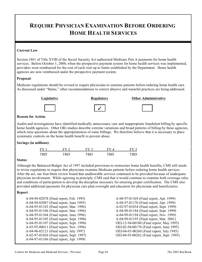## **REQUIRE PHYSICIAN EXAMINATION BEFORE ORDERING HOME HEALTH SERVICES**

#### **Current Law**:

Section 1861 of Title XVIII of the Social Security Act authorized Medicare Part A payments for home health services. Before October 1, 2000, when the prospective payment system for home health services was implemented, providers were reimbursed for the cost of each visit up to limits established by the Department. Home health agencies are now reimbursed under the prospective payment system.

#### **Proposal**:

Medicare regulations should be revised to require physicians to examine patients before ordering home health care. As discussed under "Status," other recommendations to correct abusive and wasteful practices are being addressed.





�

### **Legislative Channel Regulatory Channel Channel Administrative Channel Channel Administrative**

### **Reason for Action**:

Audits and investigations have identified medically unnecessary care and inappropriate fraudulent billing by specific home health agencies. Other OIG studies describe extreme variations and broad patterns of billing by these agencies, which raise questions about the appropriateness of some billings. We therefore believe that it is necessary to place systematic controls on the home health benefit to prevent abuse.

#### **Savings (in millions)**:

| FY 1       | $FV$ 2 | EV <sub>3</sub> | FV 4 | $FY$ $\cdot$ |
|------------|--------|-----------------|------|--------------|
| <b>TRD</b> | ‴RD -  | TRN             | TRN  | דו גוידי     |

#### **Status**:

Although the Balanced Budget Act of 1997 included provisions to restructure home health benefits, CMS still needs to revise regulations to require that physicians examine Medicare patients before ordering home health services. After the act, our four-State review found that unallowable services continued to be provided because of inadequate physician involvement. While agreeing in principle, CMS said that it would continue to examine both coverage rules and conditions of participation to develop the discipline necessary for ensuring proper certification. The CMS also provided additional payments for physician care plan oversight and education for physicians and beneficiaries.

#### **Report**:

| A-04-94-02078 (Final report, Feb. 1995)  |
|------------------------------------------|
| A-04-94-02087 (Final report, June 1995)  |
| A-04-95-01103 (Final report, Mar. 1996)  |
| A-04-95-01106 (Final report, Mar. 1996)  |
| A-04-95-01104 (Final report, June 1996)  |
| A-04-95-01105 (Final report, Sept. 1996) |
| A-04-95-01107 (Final report, Sept. 1996) |
| A-03-95-00011 (Final report, Nov. 1996)  |
| A-04-96-02121 (Final report, July 1997)  |
| A-02-97-01026 (Final report, Sept. 1997) |
| A-04-97-01166 (Final report, Apr. 1999)  |
|                                          |

A-04-97-01169 (Final report, Apr. 1999) A-04-97-01170 (Final report, Apr. 1999) A-02-97-01034 (Final report, Sept. 1999) A-04-98-01184 (Final report, Sept. 1999) A-04-99-01194 (Final report, Nov. 1999) A-04-99-01195 (Final report, Mar. 2001) OEI-12-94-00180 (Final report, May 1995) OEI-02-94-00170 (Final report, June 1995) OEI-04-93-00260 (Final report, July 1995) OEI-04-93-00262 (Final report, Sept. 1995)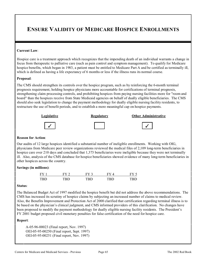### **ENSURE VALIDITY OF MEDICARE HOSPICE ENROLLMENTS**

#### **Current Law**:

Hospice care is a treatment approach which recognizes that the impending death of an individual warrants a change in focus from therapeutic to palliative care (such as pain control and symptom management). To qualify for Medicare hospice benefits, which began in 1983, a patient must be entitled to Medicare Part A and be certified as terminally ill, which is defined as having a life expectancy of 6 months or less if the illness runs its normal course.

#### **Proposal**:

The CMS should strengthen its controls over the hospice program, such as by reinforcing the 6-month terminal prognosis requirement, holding hospice physicians more accountable for certifications of terminal prognosis, strengthening claim processing controls, and prohibiting hospices from paying nursing facilities more for "room and board" than the hospices receive from State Medicaid agencies on behalf of dually eligible beneficiaries. The CMS should also seek legislation to change the payment methodology for dually eligible nursing facility residents, to restructure the use of benefit periods, and to establish a more meaningful cap on hospice payments.



#### **Reason for Action**:

Our audits of 12 large hospices identified a substantial number of ineligible enrollments. Working with OIG, physicians from Medicare peer review organizations reviewed the medical files of 2,109 long-term beneficiaries in hospice care over 210 days and concluded that 1,373 beneficiaries were ineligible because they were not terminally ill. Also, analysis of the CMS database for hospice beneficiaries showed evidence of many long-term beneficiaries in other hospices across the country.

#### **Savings (in millions)**:

| <b>FY</b>  |        |     |     |     |
|------------|--------|-----|-----|-----|
| <b>TRD</b> | רו טיי | TRD | TRN | וטו |

#### **Status**:

The Balanced Budget Act of 1997 modified the hospice benefit but did not address the above recommendations. The CMS has increased its scrutiny of hospice claims by subjecting an increased number of claims to medical review. Also, the Benefits Improvement and Protection Act of 2000 clarified that certification regarding terminal illness is to be based on the physician's clinical judgment, and CMS informed providers of this clarification. No changes have been proposed to modify the payment methodology for dually eligible nursing facility residents. The President's FY 2001 budget proposed civil monetary penalties for false certification of the need for hospice care.

#### **Report**:

A-05-96-00023 (Final report, Nov. 1997) OEI-05-95-00250 (Final report, Sept. 1997) OEI-05-95-00251 (Final report, Nov. 1997)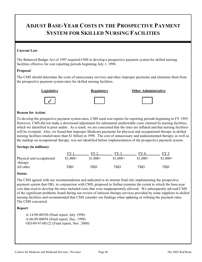### **ADJUST BASE-YEAR COSTS IN THE PROSPECTIVE PAYMENT SYSTEM FOR SKILLED NURSING FACILITIES**

#### **Current Law**:

The Balanced Budget Act of 1997 required CMS to develop a prospective payment system for skilled nursing facilities effective for cost reporting periods beginning July 1, 1998.

#### **Proposal**:

The CMS should determine the costs of unnecessary services and other improper payments and eliminate them from the prospective payment system rates for skilled nursing facilities.



#### **Reason for Action**:

To develop the prospective payment system rates, CMS used cost reports for reporting periods beginning in FY 1995. However, CMS did not make a downward adjustment for substantial unallowable costs claimed by nursing facilities, which we identified in prior audits. As a result, we are concerned that the rates are inflated and that nursing facilities will be overpaid. Also, we found that improper Medicare payments for physical and occupational therapy in skilled nursing facilities totaled more than \$1 billion in 1998. The cost of unnecessary and undocumented therapy, as well as the markup on occupational therapy, was not identified before implementation of the prospective payment system.

#### **Savings (in millions)**:

|                                      | FV        | $FV$ ?     | $FV$ 3    | FV 4      | FY 5       |
|--------------------------------------|-----------|------------|-----------|-----------|------------|
| Physical and occupational<br>therapy | $$1,000+$ | $$1,000+$  | $$1,000+$ | $$1,000+$ | $$1,000+$  |
| All other                            | TBD       | <b>TBD</b> | TBD       | TBD       | <b>TBD</b> |

#### **Status**:

The CMS agreed with our recommendation and indicated in its interim final rule implementing the prospective payment system that OIG, in conjunction with CMS, proposed to further examine the extent to which the base-year cost data used to develop the rates included costs that were inappropriately allowed. We subsequently advised CMS of the significant problems found during our review of infusion therapy services provided by some suppliers to skilled nursing facilities and recommended that CMS consider our findings when updating or refining the payment rates. The CMS concurred.

#### **Report**:

A-14-98-00350 (Final report, July 1998) A-06-99-00058 (Final report, Dec. 1999) OEI-09-97-00122 (Final report, Nov. 2000)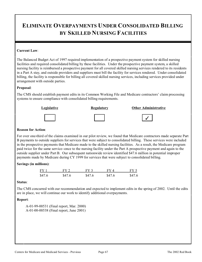## **ELIMINATE OVERPAYMENTS UNDER CONSOLIDATED BILLING BY SKILLED NURSING FACILITIES**

#### **Current Law**:

The Balanced Budget Act of 1997 required implementation of a prospective payment system for skilled nursing facilities and required consolidated billing by these facilities. Under the prospective payment system, a skilled nursing facility is reimbursed a prospective payment for all covered skilled nursing services rendered to its residents in a Part A stay, and outside providers and suppliers must bill the facility for services rendered. Under consolidated billing, the facility is responsible for billing all covered skilled nursing services, including services provided under arrangement with outside parties.

#### **Proposal**:

The CMS should establish payment edits in its Common Working File and Medicare contractors' claim processing systems to ensure compliance with consolidated billing requirements.



#### **Reason for Action**:

For over one-third of the claims examined in our pilot review, we found that Medicare contractors made separate Part B payments to outside suppliers for services that were subject to consolidated billing. These services were included in the prospective payments that Medicare made to the skilled nursing facilities. As a result, the Medicare program paid twice for the same service--once to the nursing facility under the Part A prospective payment and again to the outside supplier under Part B. Our subsequent nationwide review identified \$47.6 million in potential improper payments made by Medicare during CY 1999 for services that were subject to consolidated billing.

### **Savings (in millions)**:

| FY1    | FY 2   | FY 3   | FV 4   | FY 5   |
|--------|--------|--------|--------|--------|
| \$47.6 | \$47.6 | \$47.6 | \$47.6 | \$47.6 |

#### **Status**:

The CMS concurred with our recommendation and expected to implement edits in the spring of 2002. Until the edits are in place, we will continue our work to identify additional overpayments.

### **Report**:

A-01-99-00531 (Final report, Mar. 2000) A-01-00-00538 (Final report, June 2001)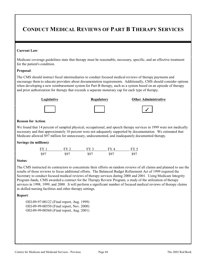### **CONDUCT MEDICAL REVIEWS OF PART B THERAPY SERVICES**

#### **Current Law**:

Medicare coverage guidelines state that therapy must be reasonable, necessary, specific, and an effective treatment for the patient's condition.

#### **Proposal**:

The CMS should instruct fiscal intermediaries to conduct focused medical reviews of therapy payments and encourage them to educate providers about documentation requirements. Additionally, CMS should consider options when developing a new reimbursement system for Part B therapy, such as a system based on an episode of therapy and prior authorization for therapy that exceeds a separate monetary cap for each type of therapy.



#### **Reason for Action**:

We found that 14 percent of sampled physical, occupational, and speech therapy services in 1999 were not medically necessary and that approximately 10 percent were not adequately supported by documentation. We estimated that Medicare allowed \$97 million for unnecessary, undocumented, and inadequately documented therapy.

#### **Savings (in millions)**:

| FY 1 | $FY$ 2 | $FY$ 3 | FY4  | FY 5 |
|------|--------|--------|------|------|
| \$97 | \$97   | \$97   | \$97 | \$97 |

#### **Status**:

The CMS instructed its contractors to concentrate their efforts on random reviews of all claims and planned to use the results of those reviews to focus additional efforts. The Balanced Budget Refinement Act of 1999 required the Secretary to conduct focused medical reviews of therapy services during 2000 and 2001. Using Medicare Integrity Program funds, CMS awarded a contract for the Therapy Review Program, a study of the utilization of therapy services in 1998, 1999, and 2000. It will perform a significant number of focused medical reviews of therapy claims in skilled nursing facilities and other therapy settings.

#### **Report**:

OEI-09-97-00122 (Final report, Aug. 1999) OEI-09-99-00550 (Final report, Nov. 2000) OEI-09-99-00560 (Final report, Aug. 2001)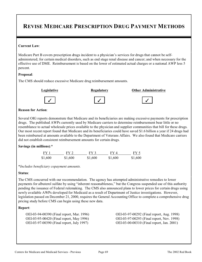### **REVISE MEDICARE PRESCRIPTION DRUG PAYMENT METHODS**

#### **Current Law**:

Medicare Part B covers prescription drugs incident to a physician's services for drugs that cannot be selfadministered; for certain medical disorders, such as end stage renal disease and cancer; and when necessary for the effective use of DME. Reimbursement is based on the lower of estimated actual charges or a national AWP less 5 percent.

#### **Proposal**:

The CMS should reduce excessive Medicare drug reimbursement amounts.



#### **Reason for Action**:

Several OIG reports demonstrate that Medicare and its beneficiaries are making excessive payments for prescription drugs. The published AWPs currently used by Medicare carriers to determine reimbursement bear little or no resemblance to actual wholesale prices available to the physician and supplier communities that bill for these drugs. Our most recent report found that Medicare and its beneficiaries could have saved \$1.6 billion a year if 24 drugs had been reimbursed at amounts available to the Department of Veterans Affairs. We also found that Medicare carriers did not establish consistent reimbursement amounts for certain drugs.

#### **Savings (in millions)**:\*

| FY 1    | FY 2.   | FY 3    | FY4     | FY 5    |
|---------|---------|---------|---------|---------|
| \$1,600 | \$1,600 | \$1,600 | \$1,600 | \$1,600 |

\**Includes beneficiary copayment amounts.* 

#### **Status**:

The CMS concurred with our recommendation. The agency has attempted administrative remedies to lower payments for albuterol sulfate by using "inherent reasonableness," but the Congress suspended use of this authority pending the issuance of Federal rulemaking. The CMS also announced plans to lower prices for certain drugs using newly available AWPs developed for Medicaid as a result of Department of Justice investigations. However, legislation passed on December 21, 2000, requires the General Accounting Office to complete a comprehensive drug pricing study before CMS can begin using these new data.

#### **Report**:

OEI-03-97-00390 (Final report, July 1997) OEI-03-00-00310 (Final report, Jan. 2001)

OEI-03-94-00390 (Final report, Mar. 1996) OEI-03-97-00292 (Final report, Aug. 1998) OEI-03-95-00420 (Final report, May 1996) OEI-03-97-00293 (Final report, Nov. 1998)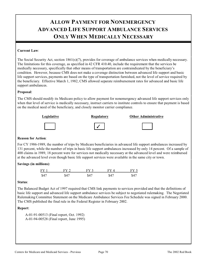## **ALLOW PAYMENT FOR NONEMERGENCY ADVANCED LIFE SUPPORT AMBULANCE SERVICES ONLY WHEN MEDICALLY NECESSARY**

#### **Current Law**:

The Social Security Act, section 1861(s)(7), provides for coverage of ambulance services when medically necessary. The limitations for this coverage, as specified in 42 CFR 410.40, include the requirement that the services be medically necessary, specifically that other means of transportation are contraindicated by the beneficiary's condition. However, because CMS does not make a coverage distinction between advanced life support and basic life support services, payments are based on the type of transportation furnished, not the level of service required by the beneficiary. Effective March 1, 1982, CMS allowed separate reimbursement rates for advanced and basic life support ambulances.

#### **Proposal**:

The CMS should modify its Medicare policy to allow payment for nonemergency advanced life support services only when that level of service is medically necessary, instruct carriers to institute controls to ensure that payment is based on the medical need of the beneficiary, and closely monitor carrier compliance.



#### **Reason for Action**:

For CY 1986-1989, the number of trips by Medicare beneficiaries in advanced life support ambulances increased by 131 percent, while the number of trips in basic life support ambulances increased by only 14 percent. Of a sample of 400 claims in 1989, 18 percent were for services not medically necessary at the advanced level and were reimbursed at the advanced level even though basic life support services were available in the same city or town.

### **Savings (in millions)**:

| FY <sub>1</sub> | FY 2 | $FY$ 3 | $FV\Lambda$ | $FY \subset$ |
|-----------------|------|--------|-------------|--------------|
| \$47            | \$47 | \$47   | \$47        | \$47         |

#### **Status**:

The Balanced Budget Act of 1997 required that CMS link payments to services provided and that the definitions of basic life support and advanced life support ambulance services be subject to negotiated rulemaking. The Negotiated Rulemaking Committee Statement on the Medicare Ambulance Services Fee Schedule was signed in February 2000. The CMS published the final rule in the Federal Register in February 2002.

#### **Report**:

A-01-91-00513 (Final report, Oct. 1992) A-01-94-00528 (Final report, June 1995)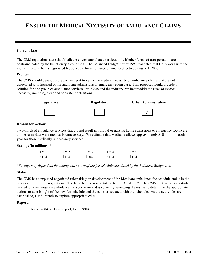### **ENSURE THE MEDICAL NECESSITY OF AMBULANCE CLAIMS**

#### **Current Law**:

The CMS regulations state that Medicare covers ambulance services only if other forms of transportation are contraindicated by the beneficiary's condition. The Balanced Budget Act of 1997 mandated that CMS work with the industry to establish a negotiated fee schedule for ambulance payments effective January 1, 2000.

#### **Proposal**:

The CMS should develop a prepayment edit to verify the medical necessity of ambulance claims that are not associated with hospital or nursing home admissions or emergency room care. This proposal would provide a solution for one group of ambulance services until CMS and the industry can better address issues of medical necessity, including clear and consistent definitions.



#### **Reason for Action**:

Two-thirds of ambulance services that did not result in hospital or nursing home admissions or emergency room care on the same date were medically unnecessary. We estimate that Medicare allows approximately \$104 million each year for these medically unnecessary services.

#### **Savings (in millions)**:\*

| FY 1  | $FY$ 2 | FY 3  | FY 4  | FY 5  |
|-------|--------|-------|-------|-------|
| \$104 | \$104  | \$104 | \$104 | \$104 |

\**Savings may depend on the timing and nature of the fee schedule mandated by the Balanced Budget Act.* 

#### **Status**:

The CMS has completed negotiated rulemaking on development of the Medicare ambulance fee schedule and is in the process of proposing regulations. The fee schedule was to take effect in April 2002. The CMS contracted for a study related to nonemergency ambulance transportation and is currently reviewing the results to determine the appropriate actions to take in light of the new fee schedule and the codes associated with the schedule. As the new codes are established, CMS intends to explore appropriate edits.

#### **Report**:

OEI-09-95-00412 (Final report, Dec. 1998)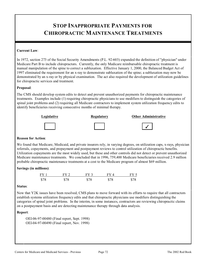### **STOP INAPPROPRIATE PAYMENTS FOR CHIROPRACTIC MAINTENANCE TREATMENTS**

#### **Current Law**:

In 1972, section 273 of the Social Security Amendments (P.L. 92-603) expanded the definition of "physician" under Medicare Part B to include chiropractors. Currently, the only Medicare reimbursable chiropractic treatment is manual manipulation of the spine to correct a subluxation. Effective January 1, 2000, the Balanced Budget Act of 1997 eliminated the requirement for an x-ray to demonstrate subluxation of the spine; a subluxation may now be demonstrated by an x-ray or by physical examination. The act also required the development of utilization guidelines for chiropractic services and treatment.

#### **Proposal**:

The CMS should develop system edits to detect and prevent unauthorized payments for chiropractic maintenance treatments. Examples include (1) requiring chiropractic physicians to use modifiers to distinguish the categories of spinal joint problems and (2) requiring all Medicare contractors to implement system utilization frequency edits to identify beneficiaries receiving consecutive months of minimal therapy.



### **Reason for Action**:

We found that Medicare, Medicaid, and private insurers rely, in varying degrees, on utilization caps, x-rays, physician referrals, copayments, and prepayment and postpayment reviews to control utilization of chiropractic benefits. Utilization copayments are the most widely used, but these and other controls did not detect or prevent unauthorized Medicare maintenance treatments. We concluded that in 1996, 759,400 Medicare beneficiaries received 2.9 million probable chiropractic maintenance treatments at a cost to the Medicare program of almost \$69 million.

### **Savings (in millions)**:

| $FY$ 1 | FY 2 | FV 3 | $\rm{FV}$ $\rm{4}$ | FV'  |
|--------|------|------|--------------------|------|
| \$78   | \$78 | \$78 | \$78               | \$78 |

#### **Status**:

Now that Y2K issues have been resolved, CMS plans to move forward with its efforts to require that all contractors establish systems utilization frequency edits and that chiropractic physicians use modifiers distinguishing the categories of spinal joint problems. In the interim, in some instances, contractors are reviewing chiropractic claims on a postpayment basis and are detecting maintenance therapy through data analysis.

#### **Report**:

OEI-06-97-00480 (Final report, Sept. 1998) OEI-04-97-00490 (Final report, Nov. 1998)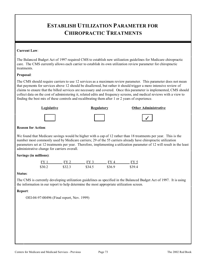### **ESTABLISH UTILIZATION PARAMETER FOR CHIROPRACTIC TREATMENTS**

#### **Current Law**:

The Balanced Budget Act of 1997 required CMS to establish new utilization guidelines for Medicare chiropractic care. The CMS currently allows each carrier to establish its own utilization review parameter for chiropractic treatments.

#### **Proposal**:

The CMS should require carriers to use 12 services as a maximum review parameter. This parameter does not mean that payments for services above 12 should be disallowed, but rather it should trigger a more intensive review of claims to ensure that the billed services are necessary and covered. Once this parameter is implemented, CMS should collect data on the cost of administering it, related edits and frequency screens, and medical reviews with a view to finding the best mix of these controls and recalibrating them after 1 or 2 years of experience.



#### **Reason for Action**:

We found that Medicare savings would be higher with a cap of 12 rather than 18 treatments per year. This is the number most commonly used by Medicare carriers; 29 of the 55 carriers already have chiropractic utilization parameters set at 12 treatments per year. Therefore, implementing a utilization parameter of 12 will result in the least administrative change for carriers overall.

### **Savings (in millions)**:

| FY.    | EV 2   | FY 3   |        | $\mathbf{F}\mathbf{V}$ $^{\prime}$ |
|--------|--------|--------|--------|------------------------------------|
| \$30.2 | \$32.3 | \$34.5 | \$36.9 | \$39.4                             |

#### **Status**:

The CMS is currently developing utilization guidelines as specified in the Balanced Budget Act of 1997. It is using the information in our report to help determine the most appropriate utilization screen.

### **Report**:

OEI-04-97-00496 (Final report, Nov. 1999)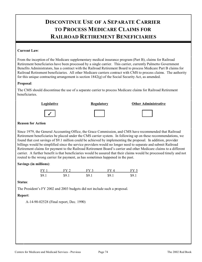## **DISCONTINUE USE OF A SEPARATE CARRIER TO PROCESS MEDICARE CLAIMS FOR RAILROAD RETIREMENT BENEFICIARIES**

#### **Current Law**:

From the inception of the Medicare supplementary medical insurance program (Part B), claims for Railroad Retirement beneficiaries have been processed by a single carrier. This carrier, currently Palmetto Government Benefits Administrators, has a contract with the Railroad Retirement Board to process Medicare Part B claims for Railroad Retirement beneficiaries. All other Medicare carriers contract with CMS to process claims. The authority for this unique contracting arrangement is section  $1842(g)$  of the Social Security Act, as amended.

#### **Proposal**:

The CMS should discontinue the use of a separate carrier to process Medicare claims for Railroad Retirement beneficiaries.



#### **Reason for Action**

Since 1979, the General Accounting Office, the Grace Commission, and CMS have recommended that Railroad Retirement beneficiaries be placed under the CMS carrier system. In following up on these recommendations, we found that cost savings of \$9.1 million could be achieved by implementing the proposal. In addition, provider billings would be simplified since the service providers would no longer need to separate and submit Railroad Retirement claims for payment to the Railroad Retirement Board's carrier and other Medicare claims to a different carrier. A further benefit is that beneficiaries would be assured that their claims would be processed timely and not routed to the wrong carrier for payment, as has sometimes happened in the past.

#### **Savings (in millions)**:

| $FY$ 1 | $\mathbf{F} \mathbf{V}$ $\mathbf{\Omega}$ | EV <sub>3</sub> |      | FY 5 |
|--------|-------------------------------------------|-----------------|------|------|
| \$9.1  | 59 I                                      | 90 I            | SQ 1 | 89.  |

#### **Status**:

The President's FY 2002 and 2003 budgets did not include such a proposal.

### **Report**:

A-14-90-02528 (Final report, Dec. 1990)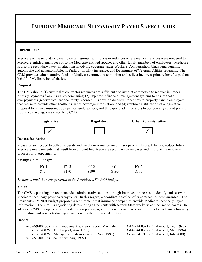### **IMPROVE MEDICARE SECONDARY PAYER SAFEGUARDS**

#### **Current Law**:

Medicare is the secondary payer to certain group health plans in instances where medical services were rendered to Medicare-entitled employees or to the Medicare-entitled spouses and other family members of employees. Medicare is also the secondary payer in situations involving coverage under Worker's Compensation; black lung benefits; automobile and nonautomobile, no fault, or liability insurance; and Department of Veterans Affairs programs. The CMS provides administrative funds to Medicare contractors to monitor and collect incorrect primary benefits paid on behalf of Medicare beneficiaries.

#### **Proposal**:

The CMS should (1) ensure that contractor resources are sufficient and instruct contractors to recover improper primary payments from insurance companies; (2) implement financial management systems to ensure that all overpayments (receivables) are accurately recorded; (3) develop detailed procedures to properly handle employers that refuse to provide other health insurance coverage information; and (4) resubmit justification of a legislative proposal to require insurance companies, underwriters, and third-party administrators to periodically submit private insurance coverage data directly to CMS.





 $\checkmark$  and  $\checkmark$  and  $\checkmark$  and  $\checkmark$  and  $\checkmark$  and  $\checkmark$  and  $\checkmark$  and  $\checkmark$  and  $\checkmark$  and  $\checkmark$  and  $\checkmark$  and  $\checkmark$  and  $\checkmark$  and  $\checkmark$  and  $\checkmark$  and  $\checkmark$  and  $\checkmark$  and  $\checkmark$  and  $\checkmark$  and  $\checkmark$  and  $\checkmark$  and  $\checkmark$  and



#### **Reason for Action**:

Measures are needed to collect accurate and timely information on primary payers. This will help to reduce future Medicare overpayments that result from unidentified Medicare secondary payer cases and improve the recovery process for overpayments.

#### **Savings (in millions)**:\*

| $FY$ 1 | FY 2  | FY <sub>3</sub> | FV 4  | FY 5  |
|--------|-------|-----------------|-------|-------|
| \$40   | \$190 | \$190           | \$190 | \$190 |

*\*Amounts total the savings shown in the President's FY 2001 budget.* 

#### **Status**:

The CMS is pursuing the recommended administrative actions through improved processes to identify and recover Medicare secondary payer overpayments. In this regard, a coordination-of-benefits contract has been awarded. The President's FY 2001 budget proposed a requirement that insurance companies provide Medicare secondary payer information. The CMS is negotiating data-sharing agreements with several State workers' compensation boards. In addition, CMS has signed several voluntary reporting agreements with employers and insurers to exchange eligibility information and is negotiating agreements with other interested entities.

#### **Report**:

A-09-89-00100 (Final management advisory report, Mar. 1990) A-14-94-00391 (Final report, Dec. 1993)  $OEI-07-90-00760$  (Final report, Aug. 1991) OEI-03-90-00763 (Management advisory report, Nov. 1991) A-02-98-01036 (Final report, July 2000) A-09-91-00103 (Final report, Aug. 1992)

Centers for Medicare and Medicaid Services - Previous Page 75 The 2002 Red Book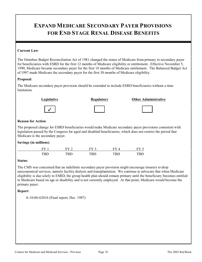### **EXPAND MEDICARE SECONDARY PAYER PROVISIONS FOR END STAGE RENAL DISEASE BENEFITS**

#### **Current Law**:

The Omnibus Budget Reconciliation Act of 1981 changed the status of Medicare from primary to secondary payer for beneficiaries with ESRD for the first 12 months of Medicare eligibility or entitlement. Effective November 5, 1990, Medicare became secondary payer for the first 18 months of Medicare entitlement. The Balanced Budget Act of 1997 made Medicare the secondary payer for the first 30 months of Medicare eligibility.

#### **Proposal**:

The Medicare secondary payer provision should be extended to include ESRD beneficiaries without a time limitation.



#### **Reason for Action**:

The proposed change for ESRD beneficiaries would make Medicare secondary payer provisions consistent with legislation passed by the Congress for aged and disabled beneficiaries, which does not restrict the period that Medicare is the secondary payer.

#### **Savings (in millions)**:

| FV  | Ħ,  | FV  |     |       |
|-----|-----|-----|-----|-------|
| TRD | TRD | TRD | TRD | 1'D I |

#### **Status**:

The CMS was concerned that an indefinite secondary payer provision might encourage insurers to drop uneconomical services, namely facility dialysis and transplantation. We continue to advocate that when Medicare eligibility is due solely to ESRD, the group health plan should remain primary until the beneficiary becomes entitled to Medicare based on age or disability and is not currently employed. At that point, Medicare would become the primary payer.

#### **Report**:

```
A-10-86-62016 (Final report, Dec. 1987)
```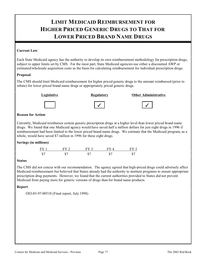## **LIMIT MEDICAID REIMBURSEMENT FOR HIGHER PRICED GENERIC DRUGS TO THAT FOR LOWER PRICED BRAND NAME DRUGS**

#### **Current Law**:

Each State Medicaid agency has the authority to develop its own reimbursement methodology for prescription drugs, subject to upper limits set by CMS. For the most part, State Medicaid agencies use either a discounted AWP or estimated/wholesale acquisition costs as the basis for calculating reimbursement for individual prescription drugs.

#### **Proposal**:

The CMS should limit Medicaid reimbursement for higher priced generic drugs to the amount reimbursed (prior to rebate) for lower priced brand name drugs or appropriately priced generic drugs.



#### **Legislative Regulatory Other Administrative**





### **Reason for Action**:

Currently, Medicaid reimburses certain generic prescription drugs at a higher level than lower priced brand name drugs. We found that one Medicaid agency would have saved half a million dollars for just eight drugs in 1996 if reimbursement had been limited to the lower priced brand name drugs. We estimate that the Medicaid program, as a whole, would have saved \$7 million in 1996 for these eight drugs.

### **Savings (in millions)**:

| FY 1 | FY 2 | $FV$ 3 | FVA | – FY ≛ |
|------|------|--------|-----|--------|
| \$7  | \$7  |        | \$7 | JЭ.    |

### **Status**:

The CMS did not concur with our recommendation. The agency agreed that high-priced drugs could adversely affect Medicaid reimbursement but believed that States already had the authority to institute programs to ensure appropriate prescription drug payments. However, we found that the current authorities provided to States did not prevent Medicaid from paying more for generic versions of drugs than for brand name products.

### **Report**:

OEI-03-97-00510 (Final report, July 1998)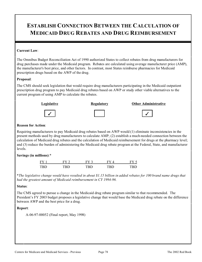### **ESTABLISH CONNECTION BETWEEN THE CALCULATION OF MEDICAID DRUG REBATES AND DRUG REIMBURSEMENT**

#### **Current Law**:

The Omnibus Budget Reconciliation Act of 1990 authorized States to collect rebates from drug manufacturers for drug purchases made under the Medicaid program. Rebates are calculated using average manufacturer price (AMP), the manufacturer's best price, and other factors. In contrast, most States reimburse pharmacies for Medicaid prescription drugs based on the AWP of the drug.

#### **Proposal**:

The CMS should seek legislation that would require drug manufacturers participating in the Medicaid outpatient prescription drug program to pay Medicaid drug rebates based on AWP or study other viable alternatives to the current program of using AMP to calculate the rebates.



#### **Reason for Action**:

Requiring manufacturers to pay Medicaid drug rebates based on AWP would (1) eliminate inconsistencies in the present methods used by drug manufacturers to calculate AMP; (2) establish a much-needed connection between the calculation of Medicaid drug rebates and the calculation of Medicaid reimbursement for drugs at the pharmacy level; and (3) reduce the burden of administering the Medicaid drug rebate program at the Federal, State, and manufacturer levels.

### **Savings (in millions)**:\*

| $\mathbf{F}\mathbf{V}$ |      |      |        |
|------------------------|------|------|--------|
| רוטיד                  | ·∟ ≀ | `P.I | - וטיי |

\**The legislative change would have resulted in about \$1.15 billion in added rebates for 100 brand name drugs that had the greatest amount of Medicaid reimbursement in CY 1994-96.* 

### **Status**:

The CMS agreed to pursue a change in the Medicaid drug rebate program similar to that recommended. The President's FY 2003 budget proposes a legislative change that would base the Medicaid drug rebate on the difference between AWP and the best price for a drug.

#### **Report**:

A-06-97-00052 (Final report, May 1998)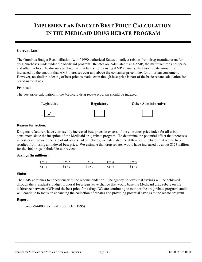## **IMPLEMENT AN INDEXED BEST PRICE CALCULATION IN THE MEDICAID DRUG REBATE PROGRAM**

#### **Current Law**:

The Omnibus Budget Reconciliation Act of 1990 authorized States to collect rebates from drug manufacturers for drug purchases made under the Medicaid program. Rebates are calculated using AMP, the manufacturer's best price, and other factors. To discourage drug manufacturers from raising AMP amounts, the basic rebate amount is increased by the amount that AMP increases over and above the consumer price index for all urban consumers. However, no similar indexing of best price is made, even though best price is part of the basic rebate calculation for brand name drugs.

#### **Proposal**:

The best price calculation in the Medicaid drug rebate program should be indexed.



#### **Reason for Action**:

Drug manufacturers have consistently increased best prices in excess of the consumer price index for all urban consumers since the inception of the Medicaid drug rebate program. To determine the potential effect that increases in best price (beyond the rate of inflation) had on rebates, we calculated the difference in rebates that would have resulted from using an indexed best price. We estimate that drug rebates would have increased by about \$123 million for the 406 drugs included in our review.

### **Savings (in millions)**:

| $FY$ 1 |       | $E$ V $\sim$ |       |        |
|--------|-------|--------------|-------|--------|
| \$123  | \$123 | \$123        | \$123 | XI 174 |

#### **Status**:

The CMS continues to nonconcur with the recommendation. The agency believes that savings will be achieved through the President's budget proposal for a legislative change that would base the Medicaid drug rebate on the difference between AWP and the best price for a drug. We are continuing to monitor the drug rebate program; audits will continue to focus on enhancing the collection of rebates and providing potential savings to the rebate program.

### **Report**:

A-06-94-00039 (Final report, Oct. 1995)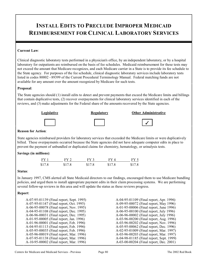### **INSTALL EDITS TO PRECLUDE IMPROPER MEDICAID REIMBURSEMENT FOR CLINICAL LABORATORY SERVICES**

#### **Current Law**:

Clinical diagnostic laboratory tests performed in a physician's office, by an independent laboratory, or by a hospital laboratory for outpatients are reimbursed on the basis of fee schedules. Medicaid reimbursement for these tests may not exceed the amount that Medicare recognizes, and each Medicare carrier in a State is to provide its fee schedule to the State agency. For purposes of the fee schedule, clinical diagnostic laboratory services include laboratory tests listed in codes 80002 - 89399 of the Current Procedural Terminology Manual. Federal matching funds are not available for any amount over the amount recognized by Medicare for such tests.

#### **Proposal**:

The State agencies should (1) install edits to detect and prevent payments that exceed the Medicare limits and billings that contain duplicative tests, (2) recover overpayments for clinical laboratory services identified in each of the reviews, and (3) make adjustments for the Federal share of the amounts recovered by the State agencies.



#### **Reason for Action**:

State agencies reimbursed providers for laboratory services that exceeded the Medicare limits or were duplicatively billed. These overpayments occurred because the State agencies did not have adequate computer edits in place to prevent the payment of unbundled or duplicated claims for chemistry, hematology, or urinalysis tests.

#### **Savings (in millions)**:

| $FY$ 1 | FY 2.  | FY3    | FY4    | FY <sub>5</sub> |
|--------|--------|--------|--------|-----------------|
| \$17.8 | \$17.8 | \$17.8 | \$17.8 | \$17.8          |

#### **Status**:

In January 1997, CMS alerted all State Medicaid directors to our findings, encouraged them to use Medicare bundling policies, and urged them to install appropriate payment edits in their claim processing systems. We are performing several follow-up reviews in this area and will update the status as these reviews progress.

#### **Report**:

| A-07-95-01139 (Final report, Sept. 1995) | A-04-95-01109 (Final report, Apr. 1996)  |
|------------------------------------------|------------------------------------------|
| A-07-95-01147 (Final report, Oct. 1995)  | A-09-95-00072 (Final report, May 1996)   |
| A-06-95-00078 (Final report, Nov. 1995)  | A-01-95-00006 (Final report, June 1996)  |
| A-04-95-01108 (Final report, Dec. 1995)  | A-06-95-00100 (Final report, July 1996)  |
| A-06-96-00031 (Final report, Dec. 1995)  | A-06-96-00002 (Final report, July 1996)  |
| A-01-95-00005 (Final report, Jan. 1996)  | A-03-96-00200 (Final report, Aug. 1996)  |
| A-01-96-00001 (Final report, Feb. 1996)  | A-03-96-00202 (Final report, Nov. 1996)  |
| A-04-95-01113 (Final report, Feb. 1996)  | A-05-95-00062 (Final report, Dec. 1996)  |
| A-05-95-00035 (Final report, Feb. 1996)  | A-02-95-01009 (Final report, Mar. 1997)  |
| A-05-96-00019 (Final report, Mar. 1996)  | A-03-96-00203 (Final report, Mar. 1997)  |
| A-07-95-01138 (Final report, Mar. 1996)  | A-04-98-01185 (Final report, Sept. 1999) |
| A-10-95-00002 (Final report, Mar. 1996)  | A-03-00-00204 (Final report, Dec. 2001)  |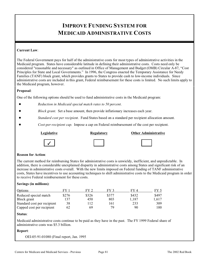### **IMPROVE FUNDING SYSTEM FOR MEDICAID ADMINISTRATIVE COSTS**

#### **Current Law**:

The Federal Government pays for half of the administrative costs for most types of administrative activities in the Medicaid program. States have considerable latitude in defining their administrative costs. Costs need only be considered "reasonable and necessary" as outlined in Office of Management and Budget (OMB) Circular A-87, "Cost Principles for State and Local Governments." In 1996, the Congress enacted the Temporary Assistance for Needy Families (TANF) block grant, which provides grants to States to provide cash to low-income individuals. Since administrative costs are included in this grant, Federal reimbursement for these costs is limited. No such limits apply to the Medicaid program, however.

#### **Proposal**:

One of the following options should be used to fund administrative costs in the Medicaid program:

- ! *Reduction in Medicaid special match rates to 50 percent*.
- ! *Block grant*. Set a base amount, then provide inflationary increases each year.
- ! *Standard cost per recipient*. Fund States based on a standard per recipient allocation amount.
- ! *Cost-per-recipient cap*. Impose a cap on Federal reimbursement of the cost per recipient.



#### **Legislative Regulatory Other Administrative**



#### **Reason for Action**:

The current method for reimbursing States for administrative costs is unwieldy, inefficient, and unpredictable. In addition, there is considerable unexplained disparity in administrative costs among States and significant risk of an increase in administrative costs overall. With the new limits imposed on Federal funding of TANF administrative costs, States have incentives to use accounting techniques to shift administrative costs to the Medicaid program in order to receive Federal reimbursement for these costs.

#### **Savings (in millions)**:

| Options                     |       | $_{\rm{FV}}$ ? |       | FY 4  |       |
|-----------------------------|-------|----------------|-------|-------|-------|
| Reduced special match       | \$276 | \$326          | \$377 | \$432 | \$497 |
| Block grant                 | 137   | 450            | 803   | 1,187 | .,617 |
| Standard cost per recipient | 38    | 12             | 161   | 233   | 309   |
| Capped cost per recipient   | 62    | 69             | 79    | 90    | 100.  |

#### **Status**:

Medicaid administrative costs continue to be paid as they have in the past. The FY 1999 Federal share of administrative costs was \$5.3 billion.

#### **Report**:

OEI-05-91-01080 (Final report, Jan. 1995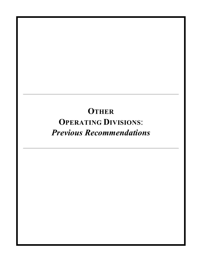# **OTHER OPERATING DIVISIONS**: *Previous Recommendations*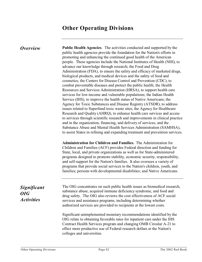### **Other Operating Divisions**

*Overview* **Public Health Agencies**. The activities conducted and supported by the public health agencies provide the foundation for the Nation's efforts in promoting and enhancing the continued good health of the American people. These agencies include the National Institutes of Health (NIH), to advance our knowledge through research; the Food and Drug Administration (FDA), to ensure the safety and efficacy of marketed drugs, biological products, and medical devices and the safety of food and cosmetics; the Centers for Disease Control and Prevention (CDC), to combat preventable diseases and protect the public health; the Health Resources and Services Administration (HRSA), to support health care services for low-income and vulnerable populations; the Indian Health Service (IHS), to improve the health status of Native Americans; the Agency for Toxic Substances and Disease Registry (ATSDR), to address issues related to Superfund toxic waste sites; the Agency for Healthcare Research and Quality (AHRQ), to enhance health care services and access to services through scientific research and improvements in clinical practice and in the organization, financing, and delivery of services; and the Substance Abuse and Mental Health Services Administration (SAMHSA), to assist States in refining and expanding treatment and prevention services.

> **Administration for Children and Families.** The Administration for Children and Families (ACF) provides Federal direction and funding for State, local, and private organizations as well as for State-administered programs designed to promote stability, economic security, responsibility, and self-support for the Nation's families. It also oversees a variety of programs that provide social services to the Nation's children, youth, and families; persons with developmental disabilities; and Native Americans.

### *Significant OIG Activities*

The OIG concentrates on such public health issues as biomedical research, substance abuse, acquired immune deficiency syndrome, and food and drug safety. The OIG also reviews the cost effectiveness of ACF social services and assistance programs, including determining whether authorized services are provided to recipients at the lowest costs.

Significant unimplemented monetary recommendations identified by the OIG relate to obtaining favorable rates for inpatient care under the IHS Contract Health Services program and changing OMB Circular A-21 to effect more productive use of Federal research dollars at the Nation's colleges and universities.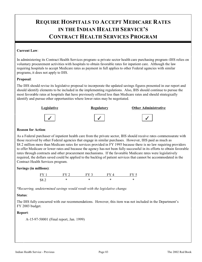## **REQUIRE HOSPITALS TO ACCEPT MEDICARE RATES IN THE INDIAN HEALTH SERVICE'S CONTRACT HEALTH SERVICES PROGRAM**

#### **Current Law**:

In administering its Contract Health Services program--a private sector health care purchasing program--IHS relies on voluntary procurement activities with hospitals to obtain favorable rates for inpatient care. Although the law requiring hospitals to accept Medicare rates as payment in full applies to other Federal agencies with similar programs, it does not apply to IHS.

#### **Proposal**:

The IHS should revise its legislative proposal to incorporate the updated savings figures presented in our report and should identify elements to be included in the implementing regulations. Also, IHS should continue to pursue the most favorable rates at hospitals that have previously offered less than Medicare rates and should strategically identify and pursue other opportunities where lower rates may be negotiated.



#### **Reason for Action**:

As a Federal purchaser of inpatient health care from the private sector, IHS should receive rates commensurate with those received by other Federal agencies that engage in similar purchases. However, IHS paid as much as \$8.2 million more than Medicare rates for services provided in FY 1995 because there is no law requiring providers to offer Medicare or lower rates and because the agency has not been fully successful in its efforts to obtain favorable rates through contracts and other procurement mechanisms. If the favorable Medicare rates were legislatively required, the dollars saved could be applied to the backlog of patient services that cannot be accommodated in the Contract Health Services program.

#### **Savings (in millions)**:



*\*Recurring, undetermined savings would result with the legislative change.* 

### **Status**:

The IHS fully concurred with our recommendations. However, this item was not included in the Department's FY 2003 budget.

#### **Report**:

A-15-97-50001 (Final report, Jan. 1999)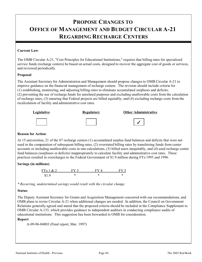### **PROPOSE CHANGES TO OFFICE OF MANAGEMENT AND BUDGET CIRCULAR A-21 REGARDING RECHARGE CENTERS**

#### **Current Law**:

The OMB Circular A-21, "Cost Principles for Educational Institutions," requires that billing rates for specialized service funds (recharge centers) be based on actual costs, designed to recover the aggregate cost of goods or services, and reviewed periodically.

#### **Proposal**:

The Assistant Secretary for Administration and Management should propose changes to OMB Circular A-21 to improve guidance on the financial management of recharge centers. The revision should include criteria for (1) establishing, monitoring, and adjusting billing rates to eliminate accumulated surpluses and deficits; (2) preventing the use of recharge funds for unrelated purposes and excluding unallowable costs from the calculation of recharge rates; (3) ensuring that Federal projects are billed equitably; and (4) excluding recharge costs from the recalculation of facility and administrative cost rates.



#### **Reason for Action**:

At 15 universities, 21 of the 87 recharge centers (1) accumulated surplus fund balances and deficits that were not used in the computation of subsequent billing rates, (2) overstated billing rates by transferring funds from center accounts or including unallowable costs in rate calculations, (3) billed users inequitably, and (4) used recharge center fund balances (surpluses or deficits) inappropriately to calculate facility and administrative cost rates. These practices resulted in overcharges to the Federal Government of \$1.9 million during FYs 1995 and 1996.

### **Savings (in millions)**:

| FY <sub>s</sub> 1 & 2 | FV <sub>3</sub> | EV 4 | FV ' |
|-----------------------|-----------------|------|------|
| \$19                  |                 |      |      |

*\* Recurring, undetermined savings would result with the circular change.* 

#### **Status**:

The Deputy Assistant Secretary for Grants and Acquisition Management concurred with our recommendations, and OMB plans to revise Circular A-21 when additional changes are needed. In addition, the Council on Government Relations generally agreed and stated that the proposed criteria should be included in the Compliance Supplement to OMB Circular A-133, which provides guidance to independent auditors in conducting compliance audits of educational institutions. This suggestion has been forwarded to OMB for consideration.

### **Report**:

A-09-96-04003 (Final report, Mar. 1997)